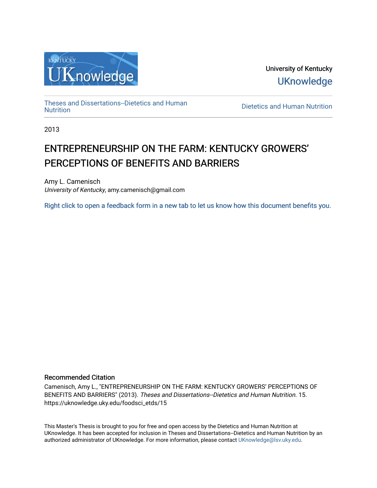

University of Kentucky **UKnowledge** 

[Theses and Dissertations--Dietetics and Human](https://uknowledge.uky.edu/foodsci_etds)

Dietetics and Human [Nutrition](https://uknowledge.uky.edu/foodsci_etds)

2013

# ENTREPRENEURSHIP ON THE FARM: KENTUCKY GROWERS' PERCEPTIONS OF BENEFITS AND BARRIERS

Amy L. Camenisch University of Kentucky, amy.camenisch@gmail.com

[Right click to open a feedback form in a new tab to let us know how this document benefits you.](https://uky.az1.qualtrics.com/jfe/form/SV_9mq8fx2GnONRfz7)

#### Recommended Citation

Camenisch, Amy L., "ENTREPRENEURSHIP ON THE FARM: KENTUCKY GROWERS' PERCEPTIONS OF BENEFITS AND BARRIERS" (2013). Theses and Dissertations--Dietetics and Human Nutrition. 15. https://uknowledge.uky.edu/foodsci\_etds/15

This Master's Thesis is brought to you for free and open access by the Dietetics and Human Nutrition at UKnowledge. It has been accepted for inclusion in Theses and Dissertations--Dietetics and Human Nutrition by an authorized administrator of UKnowledge. For more information, please contact [UKnowledge@lsv.uky.edu](mailto:UKnowledge@lsv.uky.edu).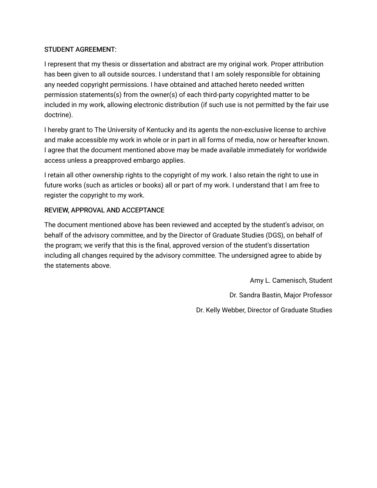## STUDENT AGREEMENT:

I represent that my thesis or dissertation and abstract are my original work. Proper attribution has been given to all outside sources. I understand that I am solely responsible for obtaining any needed copyright permissions. I have obtained and attached hereto needed written permission statements(s) from the owner(s) of each third-party copyrighted matter to be included in my work, allowing electronic distribution (if such use is not permitted by the fair use doctrine).

I hereby grant to The University of Kentucky and its agents the non-exclusive license to archive and make accessible my work in whole or in part in all forms of media, now or hereafter known. I agree that the document mentioned above may be made available immediately for worldwide access unless a preapproved embargo applies.

I retain all other ownership rights to the copyright of my work. I also retain the right to use in future works (such as articles or books) all or part of my work. I understand that I am free to register the copyright to my work.

# REVIEW, APPROVAL AND ACCEPTANCE

The document mentioned above has been reviewed and accepted by the student's advisor, on behalf of the advisory committee, and by the Director of Graduate Studies (DGS), on behalf of the program; we verify that this is the final, approved version of the student's dissertation including all changes required by the advisory committee. The undersigned agree to abide by the statements above.

> Amy L. Camenisch, Student Dr. Sandra Bastin, Major Professor Dr. Kelly Webber, Director of Graduate Studies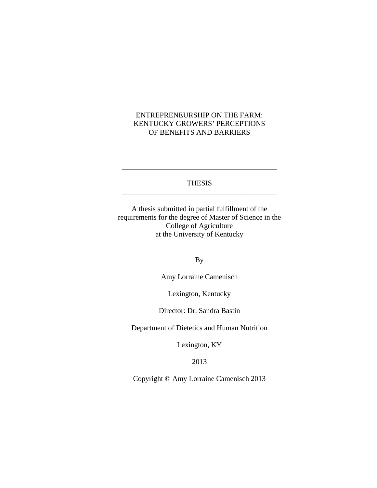## ENTREPRENEURSHIP ON THE FARM: KENTUCKY GROWERS' PERCEPTIONS OF BENEFITS AND BARRIERS

## THESIS \_\_\_\_\_\_\_\_\_\_\_\_\_\_\_\_\_\_\_\_\_\_\_\_\_\_\_\_\_\_\_\_\_\_\_\_\_\_\_\_\_\_

\_\_\_\_\_\_\_\_\_\_\_\_\_\_\_\_\_\_\_\_\_\_\_\_\_\_\_\_\_\_\_\_\_\_\_\_\_\_\_\_\_\_

A thesis submitted in partial fulfillment of the requirements for the degree of Master of Science in the College of Agriculture at the University of Kentucky

By

Amy Lorraine Camenisch

Lexington, Kentucky

Director: Dr. Sandra Bastin

Department of Dietetics and Human Nutrition

Lexington, KY

2013

Copyright © Amy Lorraine Camenisch 2013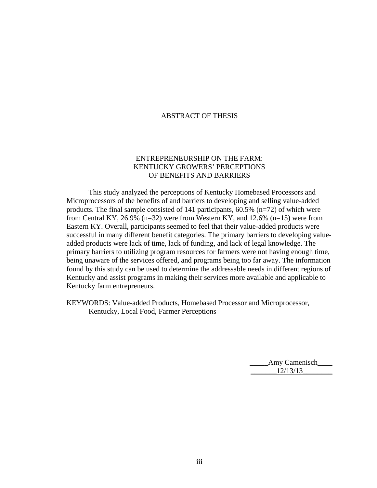#### ABSTRACT OF THESIS

## ENTREPRENEURSHIP ON THE FARM: KENTUCKY GROWERS' PERCEPTIONS OF BENEFITS AND BARRIERS

This study analyzed the perceptions of Kentucky Homebased Processors and Microprocessors of the benefits of and barriers to developing and selling value-added products. The final sample consisted of 141 participants, 60.5% (n=72) of which were from Central KY, 26.9% (n=32) were from Western KY, and 12.6% (n=15) were from Eastern KY. Overall, participants seemed to feel that their value-added products were successful in many different benefit categories. The primary barriers to developing valueadded products were lack of time, lack of funding, and lack of legal knowledge. The primary barriers to utilizing program resources for farmers were not having enough time, being unaware of the services offered, and programs being too far away. The information found by this study can be used to determine the addressable needs in different regions of Kentucky and assist programs in making their services more available and applicable to Kentucky farm entrepreneurs.

KEYWORDS: Value-added Products, Homebased Processor and Microprocessor, Kentucky, Local Food, Farmer Perceptions

> Amy Camenisch \_\_\_\_\_\_\_12/13/13\_\_\_\_\_\_\_\_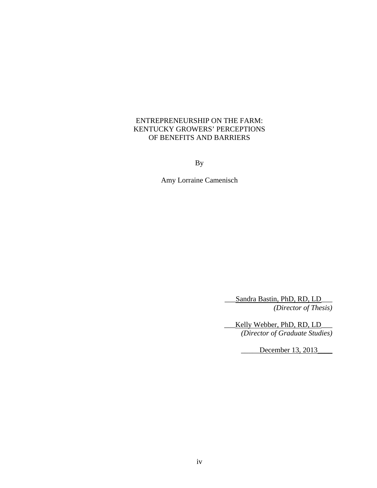## ENTREPRENEURSHIP ON THE FARM: KENTUCKY GROWERS' PERCEPTIONS OF BENEFITS AND BARRIERS

By

Amy Lorraine Camenisch

\_\_\_Sandra Bastin, PhD, RD, LD\_\_\_ *(Director of Thesis)* 

Kelly Webber, PhD, RD, LD *(Director of Graduate Studies)*

December 13, 2013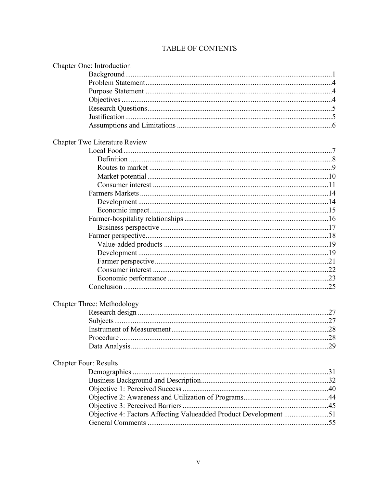# TABLE OF CONTENTS

| Chapter One: Introduction                                        |  |
|------------------------------------------------------------------|--|
|                                                                  |  |
|                                                                  |  |
|                                                                  |  |
|                                                                  |  |
|                                                                  |  |
|                                                                  |  |
|                                                                  |  |
| <b>Chapter Two Literature Review</b>                             |  |
|                                                                  |  |
|                                                                  |  |
|                                                                  |  |
|                                                                  |  |
|                                                                  |  |
|                                                                  |  |
|                                                                  |  |
|                                                                  |  |
|                                                                  |  |
|                                                                  |  |
|                                                                  |  |
|                                                                  |  |
|                                                                  |  |
|                                                                  |  |
|                                                                  |  |
|                                                                  |  |
|                                                                  |  |
| <b>Chapter Three: Methodology</b>                                |  |
|                                                                  |  |
|                                                                  |  |
|                                                                  |  |
| Procedure                                                        |  |
|                                                                  |  |
| <b>Chapter Four: Results</b>                                     |  |
|                                                                  |  |
|                                                                  |  |
|                                                                  |  |
|                                                                  |  |
|                                                                  |  |
| Objective 4: Factors Affecting Valueadded Product Development 51 |  |
|                                                                  |  |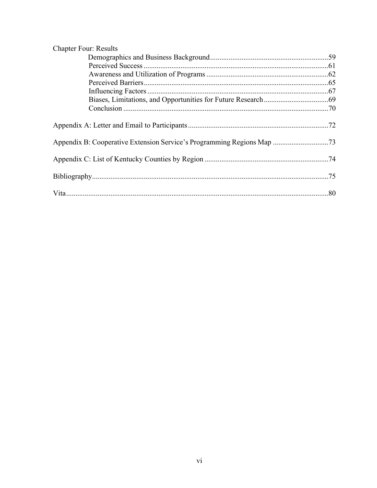| <b>Chapter Four: Results</b> |  |
|------------------------------|--|
|                              |  |
|                              |  |
|                              |  |
|                              |  |
|                              |  |
|                              |  |
|                              |  |
|                              |  |
|                              |  |
|                              |  |
|                              |  |
|                              |  |
|                              |  |
|                              |  |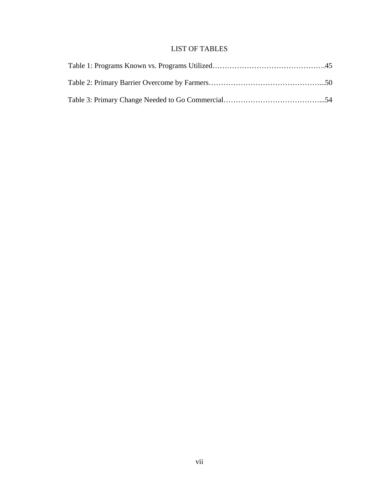# LIST OF TABLES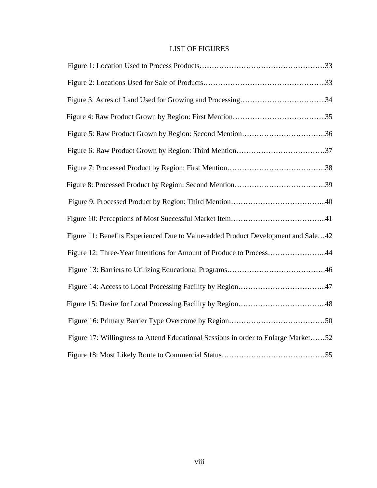# LIST OF FIGURES

| Figure 11: Benefits Experienced Due to Value-added Product Development and Sale42  |
|------------------------------------------------------------------------------------|
| Figure 12: Three-Year Intentions for Amount of Produce to Process44                |
|                                                                                    |
|                                                                                    |
|                                                                                    |
|                                                                                    |
| Figure 17: Willingness to Attend Educational Sessions in order to Enlarge Market52 |
|                                                                                    |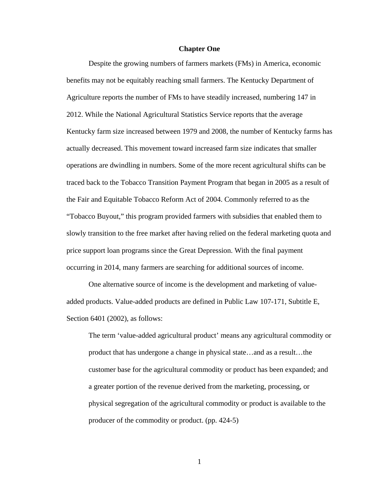#### **Chapter One**

Despite the growing numbers of farmers markets (FMs) in America, economic benefits may not be equitably reaching small farmers. The Kentucky Department of Agriculture reports the number of FMs to have steadily increased, numbering 147 in 2012. While the National Agricultural Statistics Service reports that the average Kentucky farm size increased between 1979 and 2008, the number of Kentucky farms has actually decreased. This movement toward increased farm size indicates that smaller operations are dwindling in numbers. Some of the more recent agricultural shifts can be traced back to the Tobacco Transition Payment Program that began in 2005 as a result of the Fair and Equitable Tobacco Reform Act of 2004. Commonly referred to as the "Tobacco Buyout," this program provided farmers with subsidies that enabled them to slowly transition to the free market after having relied on the federal marketing quota and price support loan programs since the Great Depression. With the final payment occurring in 2014, many farmers are searching for additional sources of income.

One alternative source of income is the development and marketing of valueadded products. Value-added products are defined in Public Law 107-171, Subtitle E, Section 6401 (2002), as follows:

The term 'value-added agricultural product' means any agricultural commodity or product that has undergone a change in physical state…and as a result…the customer base for the agricultural commodity or product has been expanded; and a greater portion of the revenue derived from the marketing, processing, or physical segregation of the agricultural commodity or product is available to the producer of the commodity or product. (pp. 424-5)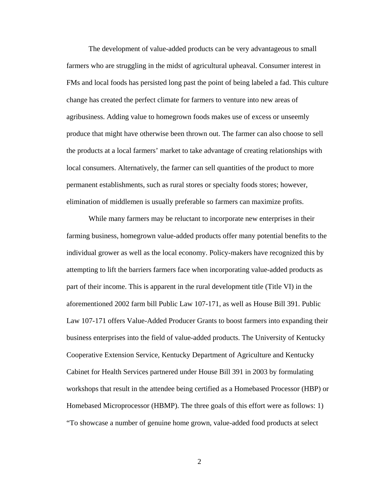The development of value-added products can be very advantageous to small farmers who are struggling in the midst of agricultural upheaval. Consumer interest in FMs and local foods has persisted long past the point of being labeled a fad. This culture change has created the perfect climate for farmers to venture into new areas of agribusiness. Adding value to homegrown foods makes use of excess or unseemly produce that might have otherwise been thrown out. The farmer can also choose to sell the products at a local farmers' market to take advantage of creating relationships with local consumers. Alternatively, the farmer can sell quantities of the product to more permanent establishments, such as rural stores or specialty foods stores; however, elimination of middlemen is usually preferable so farmers can maximize profits.

 While many farmers may be reluctant to incorporate new enterprises in their farming business, homegrown value-added products offer many potential benefits to the individual grower as well as the local economy. Policy-makers have recognized this by attempting to lift the barriers farmers face when incorporating value-added products as part of their income. This is apparent in the rural development title (Title VI) in the aforementioned 2002 farm bill Public Law 107-171, as well as House Bill 391. Public Law 107-171 offers Value-Added Producer Grants to boost farmers into expanding their business enterprises into the field of value-added products. The University of Kentucky Cooperative Extension Service, Kentucky Department of Agriculture and Kentucky Cabinet for Health Services partnered under House Bill 391 in 2003 by formulating workshops that result in the attendee being certified as a Homebased Processor (HBP) or Homebased Microprocessor (HBMP). The three goals of this effort were as follows: 1) "To showcase a number of genuine home grown, value-added food products at select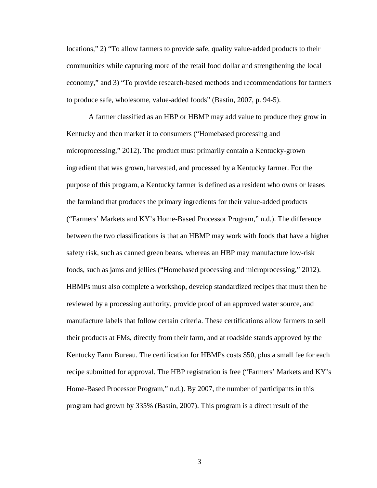locations," 2) "To allow farmers to provide safe, quality value-added products to their communities while capturing more of the retail food dollar and strengthening the local economy," and 3) "To provide research-based methods and recommendations for farmers to produce safe, wholesome, value-added foods" (Bastin, 2007, p. 94-5).

A farmer classified as an HBP or HBMP may add value to produce they grow in Kentucky and then market it to consumers ("Homebased processing and microprocessing," 2012). The product must primarily contain a Kentucky-grown ingredient that was grown, harvested, and processed by a Kentucky farmer. For the purpose of this program, a Kentucky farmer is defined as a resident who owns or leases the farmland that produces the primary ingredients for their value-added products ("Farmers' Markets and KY's Home-Based Processor Program," n.d.). The difference between the two classifications is that an HBMP may work with foods that have a higher safety risk, such as canned green beans, whereas an HBP may manufacture low-risk foods, such as jams and jellies ("Homebased processing and microprocessing," 2012). HBMPs must also complete a workshop, develop standardized recipes that must then be reviewed by a processing authority, provide proof of an approved water source, and manufacture labels that follow certain criteria. These certifications allow farmers to sell their products at FMs, directly from their farm, and at roadside stands approved by the Kentucky Farm Bureau. The certification for HBMPs costs \$50, plus a small fee for each recipe submitted for approval. The HBP registration is free ("Farmers' Markets and KY's Home-Based Processor Program," n.d.). By 2007, the number of participants in this program had grown by 335% (Bastin, 2007). This program is a direct result of the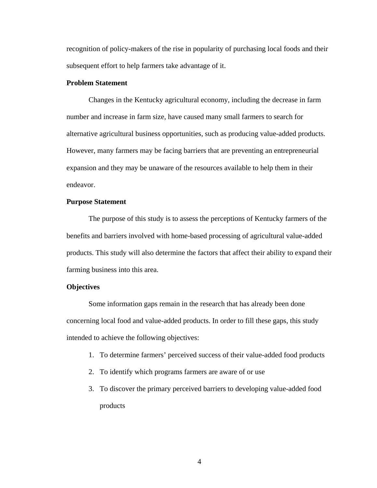recognition of policy-makers of the rise in popularity of purchasing local foods and their subsequent effort to help farmers take advantage of it.

#### **Problem Statement**

Changes in the Kentucky agricultural economy, including the decrease in farm number and increase in farm size, have caused many small farmers to search for alternative agricultural business opportunities, such as producing value-added products. However, many farmers may be facing barriers that are preventing an entrepreneurial expansion and they may be unaware of the resources available to help them in their endeavor.

#### **Purpose Statement**

The purpose of this study is to assess the perceptions of Kentucky farmers of the benefits and barriers involved with home-based processing of agricultural value-added products. This study will also determine the factors that affect their ability to expand their farming business into this area.

#### **Objectives**

 Some information gaps remain in the research that has already been done concerning local food and value-added products. In order to fill these gaps, this study intended to achieve the following objectives:

- 1. To determine farmers' perceived success of their value-added food products
- 2. To identify which programs farmers are aware of or use
- 3. To discover the primary perceived barriers to developing value-added food products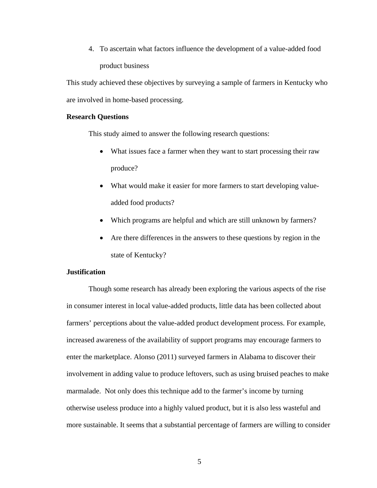4. To ascertain what factors influence the development of a value-added food product business

This study achieved these objectives by surveying a sample of farmers in Kentucky who are involved in home-based processing.

#### **Research Questions**

This study aimed to answer the following research questions:

- What issues face a farmer when they want to start processing their raw produce?
- What would make it easier for more farmers to start developing valueadded food products?
- Which programs are helpful and which are still unknown by farmers?
- Are there differences in the answers to these questions by region in the state of Kentucky?

#### **Justification**

Though some research has already been exploring the various aspects of the rise in consumer interest in local value-added products, little data has been collected about farmers' perceptions about the value-added product development process. For example, increased awareness of the availability of support programs may encourage farmers to enter the marketplace. Alonso (2011) surveyed farmers in Alabama to discover their involvement in adding value to produce leftovers, such as using bruised peaches to make marmalade. Not only does this technique add to the farmer's income by turning otherwise useless produce into a highly valued product, but it is also less wasteful and more sustainable. It seems that a substantial percentage of farmers are willing to consider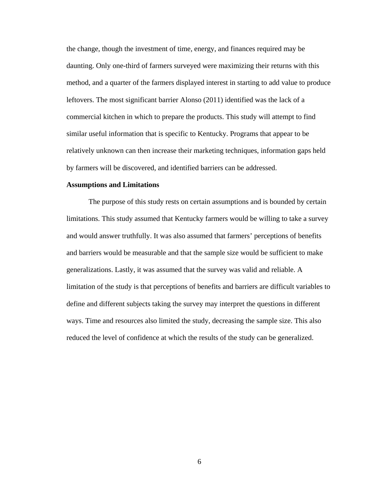the change, though the investment of time, energy, and finances required may be daunting. Only one-third of farmers surveyed were maximizing their returns with this method, and a quarter of the farmers displayed interest in starting to add value to produce leftovers. The most significant barrier Alonso (2011) identified was the lack of a commercial kitchen in which to prepare the products. This study will attempt to find similar useful information that is specific to Kentucky. Programs that appear to be relatively unknown can then increase their marketing techniques, information gaps held by farmers will be discovered, and identified barriers can be addressed.

#### **Assumptions and Limitations**

The purpose of this study rests on certain assumptions and is bounded by certain limitations. This study assumed that Kentucky farmers would be willing to take a survey and would answer truthfully. It was also assumed that farmers' perceptions of benefits and barriers would be measurable and that the sample size would be sufficient to make generalizations. Lastly, it was assumed that the survey was valid and reliable. A limitation of the study is that perceptions of benefits and barriers are difficult variables to define and different subjects taking the survey may interpret the questions in different ways. Time and resources also limited the study, decreasing the sample size. This also reduced the level of confidence at which the results of the study can be generalized.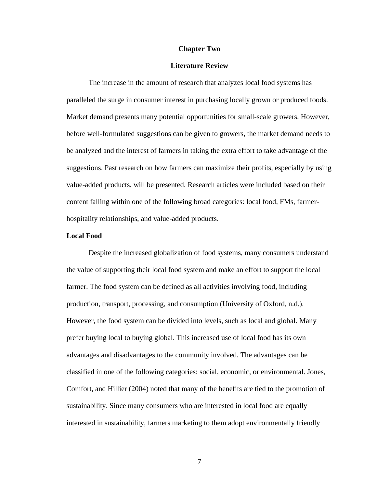#### **Chapter Two**

#### **Literature Review**

The increase in the amount of research that analyzes local food systems has paralleled the surge in consumer interest in purchasing locally grown or produced foods. Market demand presents many potential opportunities for small-scale growers. However, before well-formulated suggestions can be given to growers, the market demand needs to be analyzed and the interest of farmers in taking the extra effort to take advantage of the suggestions. Past research on how farmers can maximize their profits, especially by using value-added products, will be presented. Research articles were included based on their content falling within one of the following broad categories: local food, FMs, farmerhospitality relationships, and value-added products.

#### **Local Food**

Despite the increased globalization of food systems, many consumers understand the value of supporting their local food system and make an effort to support the local farmer. The food system can be defined as all activities involving food, including production, transport, processing, and consumption (University of Oxford, n.d.). However, the food system can be divided into levels, such as local and global. Many prefer buying local to buying global. This increased use of local food has its own advantages and disadvantages to the community involved. The advantages can be classified in one of the following categories: social, economic, or environmental. Jones, Comfort, and Hillier (2004) noted that many of the benefits are tied to the promotion of sustainability. Since many consumers who are interested in local food are equally interested in sustainability, farmers marketing to them adopt environmentally friendly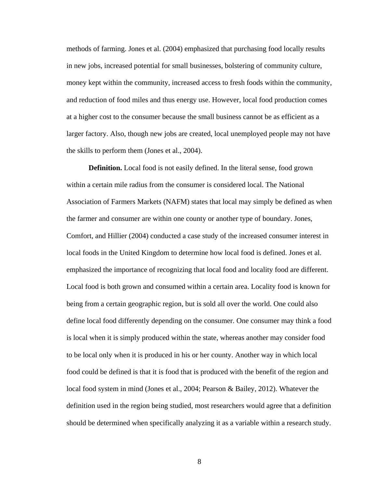methods of farming. Jones et al. (2004) emphasized that purchasing food locally results in new jobs, increased potential for small businesses, bolstering of community culture, money kept within the community, increased access to fresh foods within the community, and reduction of food miles and thus energy use. However, local food production comes at a higher cost to the consumer because the small business cannot be as efficient as a larger factory. Also, though new jobs are created, local unemployed people may not have the skills to perform them (Jones et al., 2004).

**Definition.** Local food is not easily defined. In the literal sense, food grown within a certain mile radius from the consumer is considered local. The National Association of Farmers Markets (NAFM) states that local may simply be defined as when the farmer and consumer are within one county or another type of boundary. Jones, Comfort, and Hillier (2004) conducted a case study of the increased consumer interest in local foods in the United Kingdom to determine how local food is defined. Jones et al. emphasized the importance of recognizing that local food and locality food are different. Local food is both grown and consumed within a certain area. Locality food is known for being from a certain geographic region, but is sold all over the world. One could also define local food differently depending on the consumer. One consumer may think a food is local when it is simply produced within the state, whereas another may consider food to be local only when it is produced in his or her county. Another way in which local food could be defined is that it is food that is produced with the benefit of the region and local food system in mind (Jones et al., 2004; Pearson & Bailey, 2012). Whatever the definition used in the region being studied, most researchers would agree that a definition should be determined when specifically analyzing it as a variable within a research study.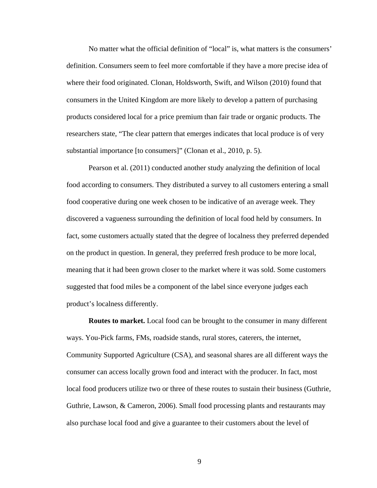No matter what the official definition of "local" is, what matters is the consumers' definition. Consumers seem to feel more comfortable if they have a more precise idea of where their food originated. Clonan, Holdsworth, Swift, and Wilson (2010) found that consumers in the United Kingdom are more likely to develop a pattern of purchasing products considered local for a price premium than fair trade or organic products. The researchers state, "The clear pattern that emerges indicates that local produce is of very substantial importance [to consumers]" (Clonan et al., 2010, p. 5).

Pearson et al. (2011) conducted another study analyzing the definition of local food according to consumers. They distributed a survey to all customers entering a small food cooperative during one week chosen to be indicative of an average week. They discovered a vagueness surrounding the definition of local food held by consumers. In fact, some customers actually stated that the degree of localness they preferred depended on the product in question. In general, they preferred fresh produce to be more local, meaning that it had been grown closer to the market where it was sold. Some customers suggested that food miles be a component of the label since everyone judges each product's localness differently.

**Routes to market.** Local food can be brought to the consumer in many different ways. You-Pick farms, FMs, roadside stands, rural stores, caterers, the internet, Community Supported Agriculture (CSA), and seasonal shares are all different ways the consumer can access locally grown food and interact with the producer. In fact, most local food producers utilize two or three of these routes to sustain their business (Guthrie, Guthrie, Lawson, & Cameron, 2006). Small food processing plants and restaurants may also purchase local food and give a guarantee to their customers about the level of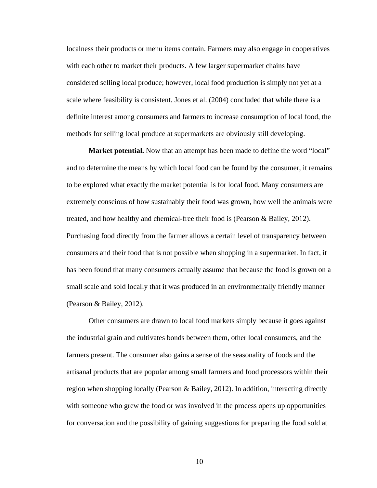localness their products or menu items contain. Farmers may also engage in cooperatives with each other to market their products. A few larger supermarket chains have considered selling local produce; however, local food production is simply not yet at a scale where feasibility is consistent. Jones et al. (2004) concluded that while there is a definite interest among consumers and farmers to increase consumption of local food, the methods for selling local produce at supermarkets are obviously still developing.

**Market potential.** Now that an attempt has been made to define the word "local" and to determine the means by which local food can be found by the consumer, it remains to be explored what exactly the market potential is for local food. Many consumers are extremely conscious of how sustainably their food was grown, how well the animals were treated, and how healthy and chemical-free their food is (Pearson & Bailey, 2012). Purchasing food directly from the farmer allows a certain level of transparency between consumers and their food that is not possible when shopping in a supermarket. In fact, it has been found that many consumers actually assume that because the food is grown on a small scale and sold locally that it was produced in an environmentally friendly manner (Pearson & Bailey, 2012).

Other consumers are drawn to local food markets simply because it goes against the industrial grain and cultivates bonds between them, other local consumers, and the farmers present. The consumer also gains a sense of the seasonality of foods and the artisanal products that are popular among small farmers and food processors within their region when shopping locally (Pearson & Bailey, 2012). In addition, interacting directly with someone who grew the food or was involved in the process opens up opportunities for conversation and the possibility of gaining suggestions for preparing the food sold at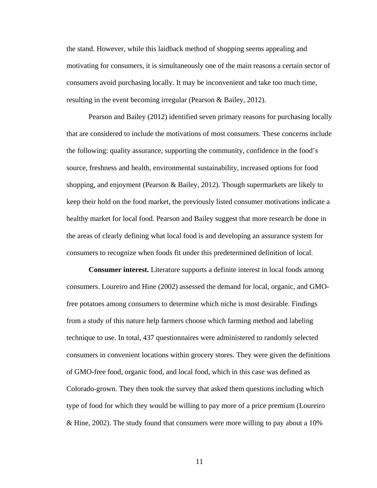the stand. However, while this laidback method of shopping seems appealing and motivating for consumers, it is simultaneously one of the main reasons a certain sector of consumers avoid purchasing locally. It may be inconvenient and take too much time, resulting in the event becoming irregular (Pearson & Bailey, 2012).

 Pearson and Bailey (2012) identified seven primary reasons for purchasing locally that are considered to include the motivations of most consumers. These concerns include the following: quality assurance, supporting the community, confidence in the food's source, freshness and health, environmental sustainability, increased options for food shopping, and enjoyment (Pearson & Bailey, 2012). Though supermarkets are likely to keep their hold on the food market, the previously listed consumer motivations indicate a healthy market for local food. Pearson and Bailey suggest that more research be done in the areas of clearly defining what local food is and developing an assurance system for consumers to recognize when foods fit under this predetermined definition of local.

**Consumer interest.** Literature supports a definite interest in local foods among consumers. Loureiro and Hine (2002) assessed the demand for local, organic, and GMOfree potatoes among consumers to determine which niche is most desirable. Findings from a study of this nature help farmers choose which farming method and labeling technique to use. In total, 437 questionnaires were administered to randomly selected consumers in convenient locations within grocery stores. They were given the definitions of GMO-free food, organic food, and local food, which in this case was defined as Colorado-grown. They then took the survey that asked them questions including which type of food for which they would be willing to pay more of a price premium (Loureiro & Hine, 2002). The study found that consumers were more willing to pay about a 10%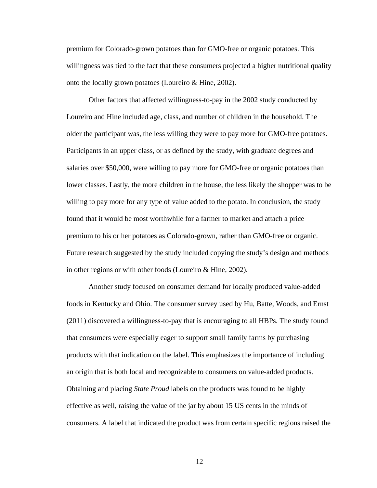premium for Colorado-grown potatoes than for GMO-free or organic potatoes. This willingness was tied to the fact that these consumers projected a higher nutritional quality onto the locally grown potatoes (Loureiro & Hine, 2002).

Other factors that affected willingness-to-pay in the 2002 study conducted by Loureiro and Hine included age, class, and number of children in the household. The older the participant was, the less willing they were to pay more for GMO-free potatoes. Participants in an upper class, or as defined by the study, with graduate degrees and salaries over \$50,000, were willing to pay more for GMO-free or organic potatoes than lower classes. Lastly, the more children in the house, the less likely the shopper was to be willing to pay more for any type of value added to the potato. In conclusion, the study found that it would be most worthwhile for a farmer to market and attach a price premium to his or her potatoes as Colorado-grown, rather than GMO-free or organic. Future research suggested by the study included copying the study's design and methods in other regions or with other foods (Loureiro & Hine, 2002).

Another study focused on consumer demand for locally produced value-added foods in Kentucky and Ohio. The consumer survey used by Hu, Batte, Woods, and Ernst (2011) discovered a willingness-to-pay that is encouraging to all HBPs. The study found that consumers were especially eager to support small family farms by purchasing products with that indication on the label. This emphasizes the importance of including an origin that is both local and recognizable to consumers on value-added products. Obtaining and placing *State Proud* labels on the products was found to be highly effective as well, raising the value of the jar by about 15 US cents in the minds of consumers. A label that indicated the product was from certain specific regions raised the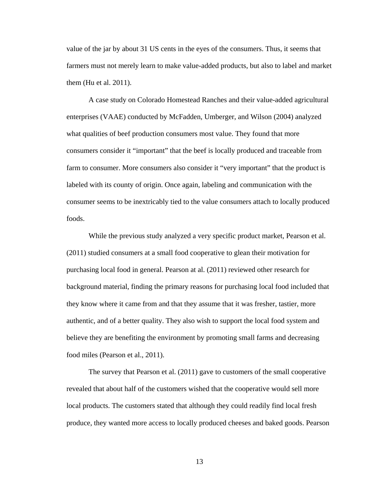value of the jar by about 31 US cents in the eyes of the consumers. Thus, it seems that farmers must not merely learn to make value-added products, but also to label and market them (Hu et al. 2011).

 A case study on Colorado Homestead Ranches and their value-added agricultural enterprises (VAAE) conducted by McFadden, Umberger, and Wilson (2004) analyzed what qualities of beef production consumers most value. They found that more consumers consider it "important" that the beef is locally produced and traceable from farm to consumer. More consumers also consider it "very important" that the product is labeled with its county of origin. Once again, labeling and communication with the consumer seems to be inextricably tied to the value consumers attach to locally produced foods.

 While the previous study analyzed a very specific product market, Pearson et al. (2011) studied consumers at a small food cooperative to glean their motivation for purchasing local food in general. Pearson at al. (2011) reviewed other research for background material, finding the primary reasons for purchasing local food included that they know where it came from and that they assume that it was fresher, tastier, more authentic, and of a better quality. They also wish to support the local food system and believe they are benefiting the environment by promoting small farms and decreasing food miles (Pearson et al., 2011).

The survey that Pearson et al. (2011) gave to customers of the small cooperative revealed that about half of the customers wished that the cooperative would sell more local products. The customers stated that although they could readily find local fresh produce, they wanted more access to locally produced cheeses and baked goods. Pearson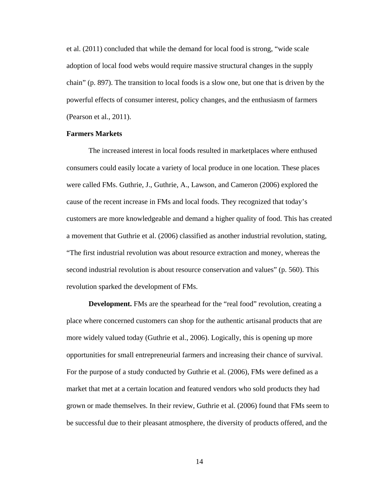et al. (2011) concluded that while the demand for local food is strong, "wide scale adoption of local food webs would require massive structural changes in the supply chain" (p. 897). The transition to local foods is a slow one, but one that is driven by the powerful effects of consumer interest, policy changes, and the enthusiasm of farmers (Pearson et al., 2011).

#### **Farmers Markets**

The increased interest in local foods resulted in marketplaces where enthused consumers could easily locate a variety of local produce in one location. These places were called FMs. Guthrie, J., Guthrie, A., Lawson, and Cameron (2006) explored the cause of the recent increase in FMs and local foods. They recognized that today's customers are more knowledgeable and demand a higher quality of food. This has created a movement that Guthrie et al. (2006) classified as another industrial revolution, stating, "The first industrial revolution was about resource extraction and money, whereas the second industrial revolution is about resource conservation and values" (p. 560). This revolution sparked the development of FMs.

**Development.** FMs are the spearhead for the "real food" revolution, creating a place where concerned customers can shop for the authentic artisanal products that are more widely valued today (Guthrie et al., 2006). Logically, this is opening up more opportunities for small entrepreneurial farmers and increasing their chance of survival. For the purpose of a study conducted by Guthrie et al. (2006), FMs were defined as a market that met at a certain location and featured vendors who sold products they had grown or made themselves. In their review, Guthrie et al. (2006) found that FMs seem to be successful due to their pleasant atmosphere, the diversity of products offered, and the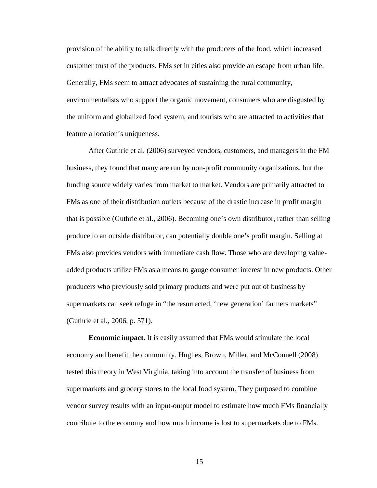provision of the ability to talk directly with the producers of the food, which increased customer trust of the products. FMs set in cities also provide an escape from urban life. Generally, FMs seem to attract advocates of sustaining the rural community, environmentalists who support the organic movement, consumers who are disgusted by the uniform and globalized food system, and tourists who are attracted to activities that feature a location's uniqueness.

 After Guthrie et al. (2006) surveyed vendors, customers, and managers in the FM business, they found that many are run by non-profit community organizations, but the funding source widely varies from market to market. Vendors are primarily attracted to FMs as one of their distribution outlets because of the drastic increase in profit margin that is possible (Guthrie et al., 2006). Becoming one's own distributor, rather than selling produce to an outside distributor, can potentially double one's profit margin. Selling at FMs also provides vendors with immediate cash flow. Those who are developing valueadded products utilize FMs as a means to gauge consumer interest in new products. Other producers who previously sold primary products and were put out of business by supermarkets can seek refuge in "the resurrected, 'new generation' farmers markets" (Guthrie et al., 2006, p. 571).

**Economic impact.** It is easily assumed that FMs would stimulate the local economy and benefit the community. Hughes, Brown, Miller, and McConnell (2008) tested this theory in West Virginia, taking into account the transfer of business from supermarkets and grocery stores to the local food system. They purposed to combine vendor survey results with an input-output model to estimate how much FMs financially contribute to the economy and how much income is lost to supermarkets due to FMs.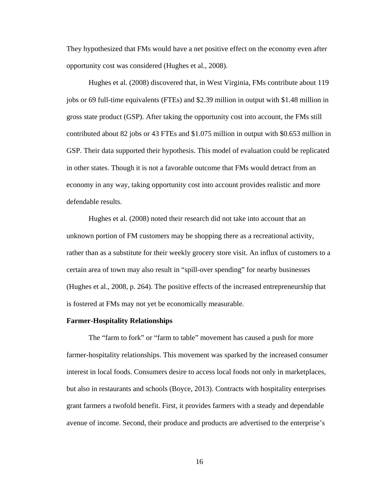They hypothesized that FMs would have a net positive effect on the economy even after opportunity cost was considered (Hughes et al., 2008).

 Hughes et al. (2008) discovered that, in West Virginia, FMs contribute about 119 jobs or 69 full-time equivalents (FTEs) and \$2.39 million in output with \$1.48 million in gross state product (GSP). After taking the opportunity cost into account, the FMs still contributed about 82 jobs or 43 FTEs and \$1.075 million in output with \$0.653 million in GSP. Their data supported their hypothesis. This model of evaluation could be replicated in other states. Though it is not a favorable outcome that FMs would detract from an economy in any way, taking opportunity cost into account provides realistic and more defendable results.

Hughes et al. (2008) noted their research did not take into account that an unknown portion of FM customers may be shopping there as a recreational activity, rather than as a substitute for their weekly grocery store visit. An influx of customers to a certain area of town may also result in "spill-over spending" for nearby businesses (Hughes et al., 2008, p. 264). The positive effects of the increased entrepreneurship that is fostered at FMs may not yet be economically measurable.

#### **Farmer-Hospitality Relationships**

 The "farm to fork" or "farm to table" movement has caused a push for more farmer-hospitality relationships. This movement was sparked by the increased consumer interest in local foods. Consumers desire to access local foods not only in marketplaces, but also in restaurants and schools (Boyce, 2013). Contracts with hospitality enterprises grant farmers a twofold benefit. First, it provides farmers with a steady and dependable avenue of income. Second, their produce and products are advertised to the enterprise's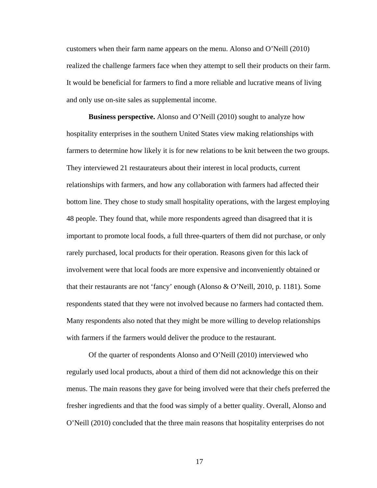customers when their farm name appears on the menu. Alonso and O'Neill (2010) realized the challenge farmers face when they attempt to sell their products on their farm. It would be beneficial for farmers to find a more reliable and lucrative means of living and only use on-site sales as supplemental income.

**Business perspective.** Alonso and O'Neill (2010) sought to analyze how hospitality enterprises in the southern United States view making relationships with farmers to determine how likely it is for new relations to be knit between the two groups. They interviewed 21 restaurateurs about their interest in local products, current relationships with farmers, and how any collaboration with farmers had affected their bottom line. They chose to study small hospitality operations, with the largest employing 48 people. They found that, while more respondents agreed than disagreed that it is important to promote local foods, a full three-quarters of them did not purchase, or only rarely purchased, local products for their operation. Reasons given for this lack of involvement were that local foods are more expensive and inconveniently obtained or that their restaurants are not 'fancy' enough (Alonso & O'Neill, 2010, p. 1181). Some respondents stated that they were not involved because no farmers had contacted them. Many respondents also noted that they might be more willing to develop relationships with farmers if the farmers would deliver the produce to the restaurant.

Of the quarter of respondents Alonso and O'Neill (2010) interviewed who regularly used local products, about a third of them did not acknowledge this on their menus. The main reasons they gave for being involved were that their chefs preferred the fresher ingredients and that the food was simply of a better quality. Overall, Alonso and O'Neill (2010) concluded that the three main reasons that hospitality enterprises do not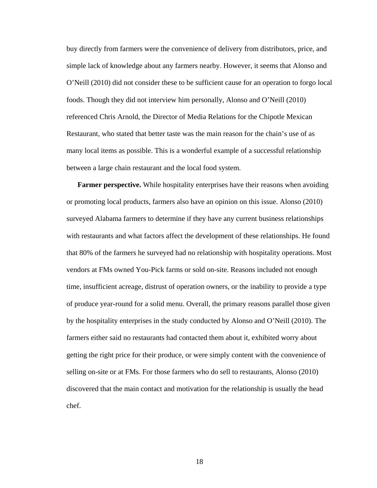buy directly from farmers were the convenience of delivery from distributors, price, and simple lack of knowledge about any farmers nearby. However, it seems that Alonso and O'Neill (2010) did not consider these to be sufficient cause for an operation to forgo local foods. Though they did not interview him personally, Alonso and O'Neill (2010) referenced Chris Arnold, the Director of Media Relations for the Chipotle Mexican Restaurant, who stated that better taste was the main reason for the chain's use of as many local items as possible. This is a wonderful example of a successful relationship between a large chain restaurant and the local food system.

**Farmer perspective.** While hospitality enterprises have their reasons when avoiding or promoting local products, farmers also have an opinion on this issue. Alonso (2010) surveyed Alabama farmers to determine if they have any current business relationships with restaurants and what factors affect the development of these relationships. He found that 80% of the farmers he surveyed had no relationship with hospitality operations. Most vendors at FMs owned You-Pick farms or sold on-site. Reasons included not enough time, insufficient acreage, distrust of operation owners, or the inability to provide a type of produce year-round for a solid menu. Overall, the primary reasons parallel those given by the hospitality enterprises in the study conducted by Alonso and O'Neill (2010). The farmers either said no restaurants had contacted them about it, exhibited worry about getting the right price for their produce, or were simply content with the convenience of selling on-site or at FMs. For those farmers who do sell to restaurants, Alonso (2010) discovered that the main contact and motivation for the relationship is usually the head chef.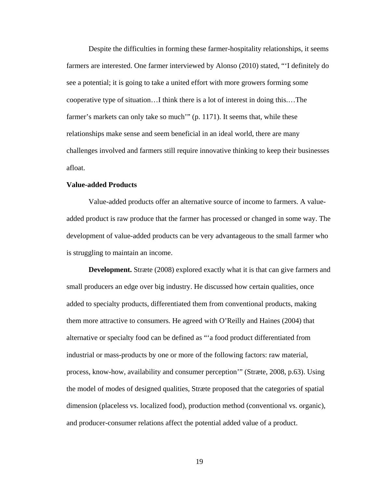Despite the difficulties in forming these farmer-hospitality relationships, it seems farmers are interested. One farmer interviewed by Alonso (2010) stated, "'I definitely do see a potential; it is going to take a united effort with more growers forming some cooperative type of situation…I think there is a lot of interest in doing this.…The farmer's markets can only take so much'" (p. 1171). It seems that, while these relationships make sense and seem beneficial in an ideal world, there are many challenges involved and farmers still require innovative thinking to keep their businesses afloat.

#### **Value-added Products**

Value-added products offer an alternative source of income to farmers. A valueadded product is raw produce that the farmer has processed or changed in some way. The development of value-added products can be very advantageous to the small farmer who is struggling to maintain an income.

**Development.** Stræte (2008) explored exactly what it is that can give farmers and small producers an edge over big industry. He discussed how certain qualities, once added to specialty products, differentiated them from conventional products, making them more attractive to consumers. He agreed with O'Reilly and Haines (2004) that alternative or specialty food can be defined as "'a food product differentiated from industrial or mass-products by one or more of the following factors: raw material, process, know-how, availability and consumer perception'" (Stræte, 2008, p.63). Using the model of modes of designed qualities, Stræte proposed that the categories of spatial dimension (placeless vs. localized food), production method (conventional vs. organic), and producer-consumer relations affect the potential added value of a product.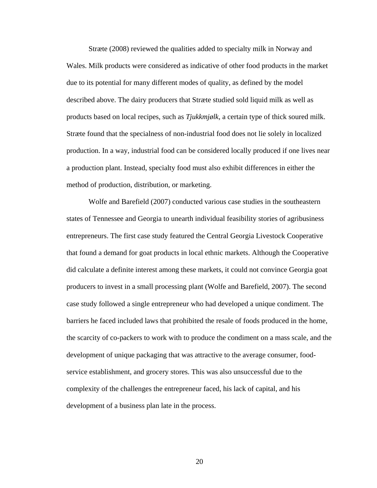Stræte (2008) reviewed the qualities added to specialty milk in Norway and Wales. Milk products were considered as indicative of other food products in the market due to its potential for many different modes of quality, as defined by the model described above. The dairy producers that Stræte studied sold liquid milk as well as products based on local recipes, such as *Tjukkmjølk*, a certain type of thick soured milk. Stræte found that the specialness of non-industrial food does not lie solely in localized production. In a way, industrial food can be considered locally produced if one lives near a production plant. Instead, specialty food must also exhibit differences in either the method of production, distribution, or marketing.

 Wolfe and Barefield (2007) conducted various case studies in the southeastern states of Tennessee and Georgia to unearth individual feasibility stories of agribusiness entrepreneurs. The first case study featured the Central Georgia Livestock Cooperative that found a demand for goat products in local ethnic markets. Although the Cooperative did calculate a definite interest among these markets, it could not convince Georgia goat producers to invest in a small processing plant (Wolfe and Barefield, 2007). The second case study followed a single entrepreneur who had developed a unique condiment. The barriers he faced included laws that prohibited the resale of foods produced in the home, the scarcity of co-packers to work with to produce the condiment on a mass scale, and the development of unique packaging that was attractive to the average consumer, foodservice establishment, and grocery stores. This was also unsuccessful due to the complexity of the challenges the entrepreneur faced, his lack of capital, and his development of a business plan late in the process.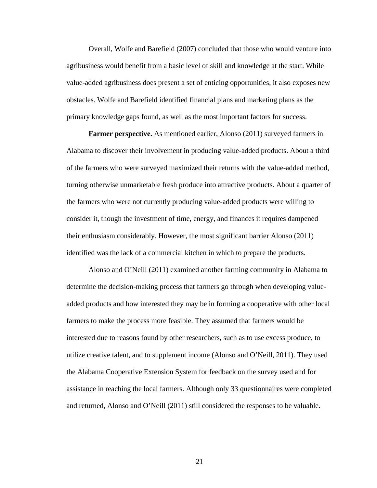Overall, Wolfe and Barefield (2007) concluded that those who would venture into agribusiness would benefit from a basic level of skill and knowledge at the start. While value-added agribusiness does present a set of enticing opportunities, it also exposes new obstacles. Wolfe and Barefield identified financial plans and marketing plans as the primary knowledge gaps found, as well as the most important factors for success.

**Farmer perspective.** As mentioned earlier, Alonso (2011) surveyed farmers in Alabama to discover their involvement in producing value-added products. About a third of the farmers who were surveyed maximized their returns with the value-added method, turning otherwise unmarketable fresh produce into attractive products. About a quarter of the farmers who were not currently producing value-added products were willing to consider it, though the investment of time, energy, and finances it requires dampened their enthusiasm considerably. However, the most significant barrier Alonso (2011) identified was the lack of a commercial kitchen in which to prepare the products.

 Alonso and O'Neill (2011) examined another farming community in Alabama to determine the decision-making process that farmers go through when developing valueadded products and how interested they may be in forming a cooperative with other local farmers to make the process more feasible. They assumed that farmers would be interested due to reasons found by other researchers, such as to use excess produce, to utilize creative talent, and to supplement income (Alonso and O'Neill, 2011). They used the Alabama Cooperative Extension System for feedback on the survey used and for assistance in reaching the local farmers. Although only 33 questionnaires were completed and returned, Alonso and O'Neill (2011) still considered the responses to be valuable.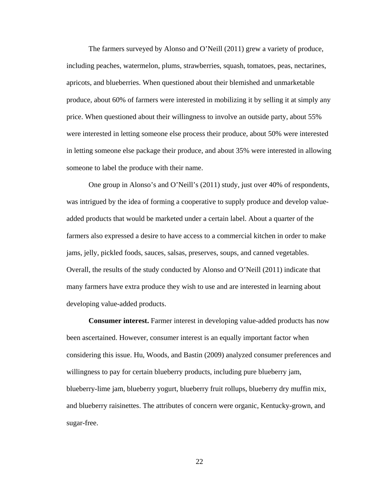The farmers surveyed by Alonso and O'Neill (2011) grew a variety of produce, including peaches, watermelon, plums, strawberries, squash, tomatoes, peas, nectarines, apricots, and blueberries. When questioned about their blemished and unmarketable produce, about 60% of farmers were interested in mobilizing it by selling it at simply any price. When questioned about their willingness to involve an outside party, about 55% were interested in letting someone else process their produce, about 50% were interested in letting someone else package their produce, and about 35% were interested in allowing someone to label the produce with their name.

One group in Alonso's and O'Neill's (2011) study, just over 40% of respondents, was intrigued by the idea of forming a cooperative to supply produce and develop valueadded products that would be marketed under a certain label. About a quarter of the farmers also expressed a desire to have access to a commercial kitchen in order to make jams, jelly, pickled foods, sauces, salsas, preserves, soups, and canned vegetables. Overall, the results of the study conducted by Alonso and O'Neill (2011) indicate that many farmers have extra produce they wish to use and are interested in learning about developing value-added products.

**Consumer interest.** Farmer interest in developing value-added products has now been ascertained. However, consumer interest is an equally important factor when considering this issue. Hu, Woods, and Bastin (2009) analyzed consumer preferences and willingness to pay for certain blueberry products, including pure blueberry jam, blueberry-lime jam, blueberry yogurt, blueberry fruit rollups, blueberry dry muffin mix, and blueberry raisinettes. The attributes of concern were organic, Kentucky-grown, and sugar-free.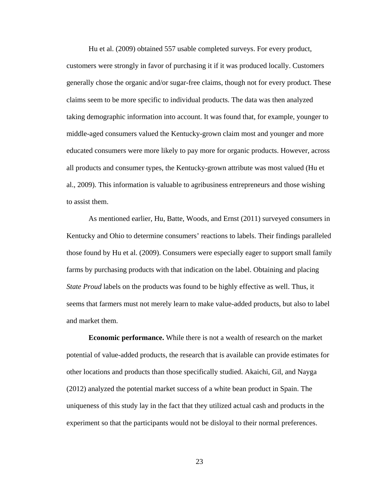Hu et al. (2009) obtained 557 usable completed surveys. For every product, customers were strongly in favor of purchasing it if it was produced locally. Customers generally chose the organic and/or sugar-free claims, though not for every product. These claims seem to be more specific to individual products. The data was then analyzed taking demographic information into account. It was found that, for example, younger to middle-aged consumers valued the Kentucky-grown claim most and younger and more educated consumers were more likely to pay more for organic products. However, across all products and consumer types, the Kentucky-grown attribute was most valued (Hu et al., 2009). This information is valuable to agribusiness entrepreneurs and those wishing to assist them.

As mentioned earlier, Hu, Batte, Woods, and Ernst (2011) surveyed consumers in Kentucky and Ohio to determine consumers' reactions to labels. Their findings paralleled those found by Hu et al. (2009). Consumers were especially eager to support small family farms by purchasing products with that indication on the label. Obtaining and placing *State Proud* labels on the products was found to be highly effective as well. Thus, it seems that farmers must not merely learn to make value-added products, but also to label and market them.

**Economic performance.** While there is not a wealth of research on the market potential of value-added products, the research that is available can provide estimates for other locations and products than those specifically studied. Akaichi, Gil, and Nayga (2012) analyzed the potential market success of a white bean product in Spain. The uniqueness of this study lay in the fact that they utilized actual cash and products in the experiment so that the participants would not be disloyal to their normal preferences.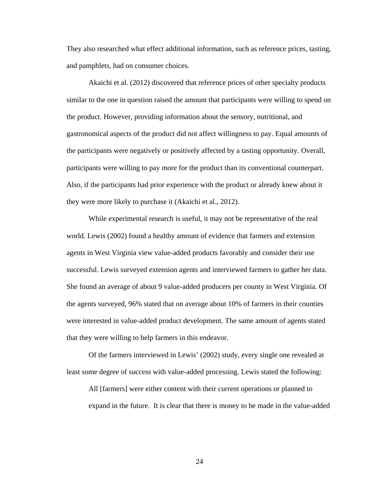They also researched what effect additional information, such as reference prices, tasting, and pamphlets, had on consumer choices.

 Akaichi et al. (2012) discovered that reference prices of other specialty products similar to the one in question raised the amount that participants were willing to spend on the product. However, providing information about the sensory, nutritional, and gastronomical aspects of the product did not affect willingness to pay. Equal amounts of the participants were negatively or positively affected by a tasting opportunity. Overall, participants were willing to pay more for the product than its conventional counterpart. Also, if the participants had prior experience with the product or already knew about it they were more likely to purchase it (Akaichi et al., 2012).

 While experimental research is useful, it may not be representative of the real world. Lewis (2002) found a healthy amount of evidence that farmers and extension agents in West Virginia view value-added products favorably and consider their use successful. Lewis surveyed extension agents and interviewed farmers to gather her data. She found an average of about 9 value-added producers per county in West Virginia. Of the agents surveyed, 96% stated that on average about 10% of farmers in their counties were interested in value-added product development. The same amount of agents stated that they were willing to help farmers in this endeavor.

Of the farmers interviewed in Lewis' (2002) study, every single one revealed at least some degree of success with value-added processing. Lewis stated the following:

All [farmers] were either content with their current operations or planned to expand in the future. It is clear that there is money to be made in the value-added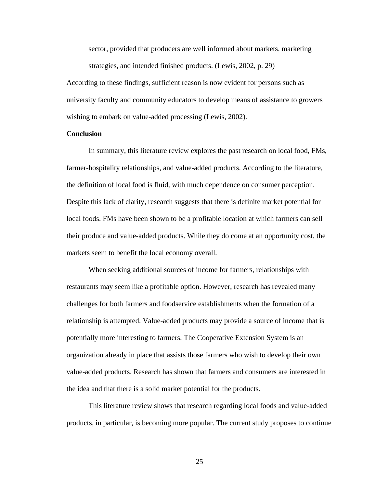sector, provided that producers are well informed about markets, marketing strategies, and intended finished products. (Lewis, 2002, p. 29)

According to these findings, sufficient reason is now evident for persons such as university faculty and community educators to develop means of assistance to growers wishing to embark on value-added processing (Lewis, 2002).

#### **Conclusion**

In summary, this literature review explores the past research on local food, FMs, farmer-hospitality relationships, and value-added products. According to the literature, the definition of local food is fluid, with much dependence on consumer perception. Despite this lack of clarity, research suggests that there is definite market potential for local foods. FMs have been shown to be a profitable location at which farmers can sell their produce and value-added products. While they do come at an opportunity cost, the markets seem to benefit the local economy overall.

When seeking additional sources of income for farmers, relationships with restaurants may seem like a profitable option. However, research has revealed many challenges for both farmers and foodservice establishments when the formation of a relationship is attempted. Value-added products may provide a source of income that is potentially more interesting to farmers. The Cooperative Extension System is an organization already in place that assists those farmers who wish to develop their own value-added products. Research has shown that farmers and consumers are interested in the idea and that there is a solid market potential for the products.

 This literature review shows that research regarding local foods and value-added products, in particular, is becoming more popular. The current study proposes to continue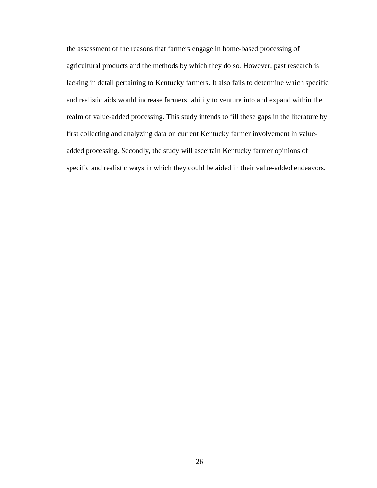the assessment of the reasons that farmers engage in home-based processing of agricultural products and the methods by which they do so. However, past research is lacking in detail pertaining to Kentucky farmers. It also fails to determine which specific and realistic aids would increase farmers' ability to venture into and expand within the realm of value-added processing. This study intends to fill these gaps in the literature by first collecting and analyzing data on current Kentucky farmer involvement in valueadded processing. Secondly, the study will ascertain Kentucky farmer opinions of specific and realistic ways in which they could be aided in their value-added endeavors.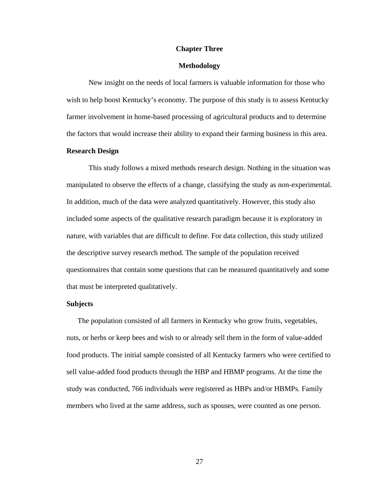#### **Chapter Three**

#### **Methodology**

New insight on the needs of local farmers is valuable information for those who wish to help boost Kentucky's economy. The purpose of this study is to assess Kentucky farmer involvement in home-based processing of agricultural products and to determine the factors that would increase their ability to expand their farming business in this area.

#### **Research Design**

 This study follows a mixed methods research design. Nothing in the situation was manipulated to observe the effects of a change, classifying the study as non-experimental. In addition, much of the data were analyzed quantitatively. However, this study also included some aspects of the qualitative research paradigm because it is exploratory in nature, with variables that are difficult to define. For data collection, this study utilized the descriptive survey research method. The sample of the population received questionnaires that contain some questions that can be measured quantitatively and some that must be interpreted qualitatively.

#### **Subjects**

The population consisted of all farmers in Kentucky who grow fruits, vegetables, nuts, or herbs or keep bees and wish to or already sell them in the form of value-added food products. The initial sample consisted of all Kentucky farmers who were certified to sell value-added food products through the HBP and HBMP programs. At the time the study was conducted, 766 individuals were registered as HBPs and/or HBMPs. Family members who lived at the same address, such as spouses, were counted as one person.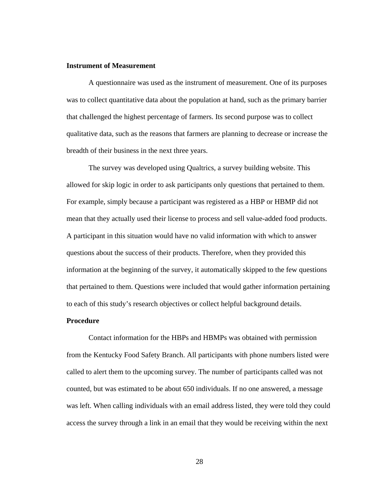### **Instrument of Measurement**

 A questionnaire was used as the instrument of measurement. One of its purposes was to collect quantitative data about the population at hand, such as the primary barrier that challenged the highest percentage of farmers. Its second purpose was to collect qualitative data, such as the reasons that farmers are planning to decrease or increase the breadth of their business in the next three years.

The survey was developed using Qualtrics, a survey building website. This allowed for skip logic in order to ask participants only questions that pertained to them. For example, simply because a participant was registered as a HBP or HBMP did not mean that they actually used their license to process and sell value-added food products. A participant in this situation would have no valid information with which to answer questions about the success of their products. Therefore, when they provided this information at the beginning of the survey, it automatically skipped to the few questions that pertained to them. Questions were included that would gather information pertaining to each of this study's research objectives or collect helpful background details.

### **Procedure**

Contact information for the HBPs and HBMPs was obtained with permission from the Kentucky Food Safety Branch. All participants with phone numbers listed were called to alert them to the upcoming survey. The number of participants called was not counted, but was estimated to be about 650 individuals. If no one answered, a message was left. When calling individuals with an email address listed, they were told they could access the survey through a link in an email that they would be receiving within the next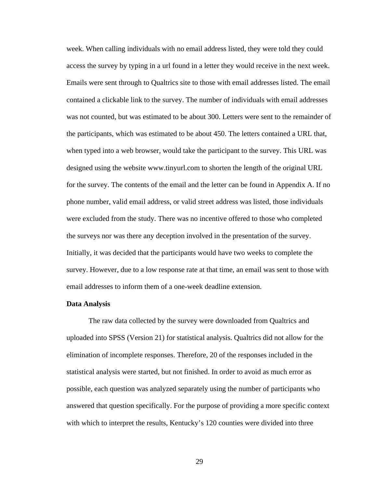week. When calling individuals with no email address listed, they were told they could access the survey by typing in a url found in a letter they would receive in the next week. Emails were sent through to Qualtrics site to those with email addresses listed. The email contained a clickable link to the survey. The number of individuals with email addresses was not counted, but was estimated to be about 300. Letters were sent to the remainder of the participants, which was estimated to be about 450. The letters contained a URL that, when typed into a web browser, would take the participant to the survey. This URL was designed using the website www.tinyurl.com to shorten the length of the original URL for the survey. The contents of the email and the letter can be found in Appendix A. If no phone number, valid email address, or valid street address was listed, those individuals were excluded from the study. There was no incentive offered to those who completed the surveys nor was there any deception involved in the presentation of the survey. Initially, it was decided that the participants would have two weeks to complete the survey. However, due to a low response rate at that time, an email was sent to those with email addresses to inform them of a one-week deadline extension.

### **Data Analysis**

The raw data collected by the survey were downloaded from Qualtrics and uploaded into SPSS (Version 21) for statistical analysis. Qualtrics did not allow for the elimination of incomplete responses. Therefore, 20 of the responses included in the statistical analysis were started, but not finished. In order to avoid as much error as possible, each question was analyzed separately using the number of participants who answered that question specifically. For the purpose of providing a more specific context with which to interpret the results, Kentucky's 120 counties were divided into three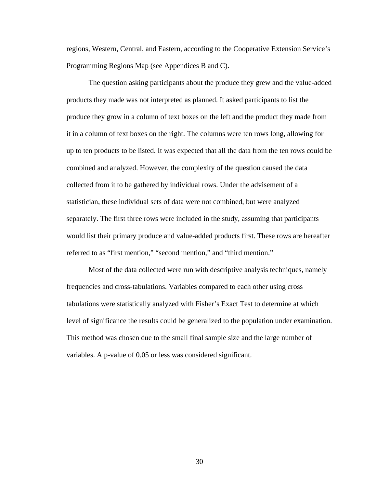regions, Western, Central, and Eastern, according to the Cooperative Extension Service's Programming Regions Map (see Appendices B and C).

The question asking participants about the produce they grew and the value-added products they made was not interpreted as planned. It asked participants to list the produce they grow in a column of text boxes on the left and the product they made from it in a column of text boxes on the right. The columns were ten rows long, allowing for up to ten products to be listed. It was expected that all the data from the ten rows could be combined and analyzed. However, the complexity of the question caused the data collected from it to be gathered by individual rows. Under the advisement of a statistician, these individual sets of data were not combined, but were analyzed separately. The first three rows were included in the study, assuming that participants would list their primary produce and value-added products first. These rows are hereafter referred to as "first mention," "second mention," and "third mention."

Most of the data collected were run with descriptive analysis techniques, namely frequencies and cross-tabulations. Variables compared to each other using cross tabulations were statistically analyzed with Fisher's Exact Test to determine at which level of significance the results could be generalized to the population under examination. This method was chosen due to the small final sample size and the large number of variables. A p-value of 0.05 or less was considered significant.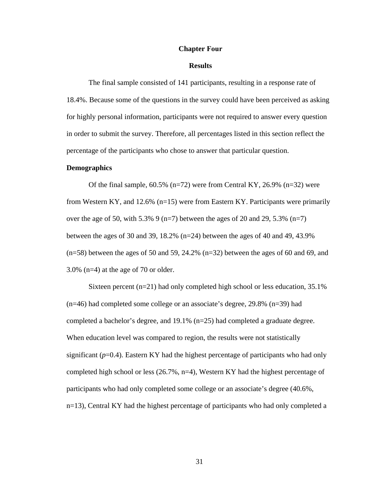### **Chapter Four**

### **Results**

The final sample consisted of 141 participants, resulting in a response rate of 18.4%. Because some of the questions in the survey could have been perceived as asking for highly personal information, participants were not required to answer every question in order to submit the survey. Therefore, all percentages listed in this section reflect the percentage of the participants who chose to answer that particular question.

### **Demographics**

Of the final sample,  $60.5\%$  (n=72) were from Central KY, 26.9% (n=32) were from Western KY, and 12.6% ( $n=15$ ) were from Eastern KY. Participants were primarily over the age of 50, with 5.3% 9 (n=7) between the ages of 20 and 29, 5.3% (n=7) between the ages of 30 and 39, 18.2% (n=24) between the ages of 40 and 49, 43.9% (n=58) between the ages of 50 and 59, 24.2% (n=32) between the ages of 60 and 69, and 3.0% (n=4) at the age of 70 or older.

Sixteen percent (n=21) had only completed high school or less education, 35.1% (n=46) had completed some college or an associate's degree, 29.8% (n=39) had completed a bachelor's degree, and 19.1% (n=25) had completed a graduate degree. When education level was compared to region, the results were not statistically significant  $(p=0.4)$ . Eastern KY had the highest percentage of participants who had only completed high school or less (26.7%, n=4), Western KY had the highest percentage of participants who had only completed some college or an associate's degree (40.6%, n=13), Central KY had the highest percentage of participants who had only completed a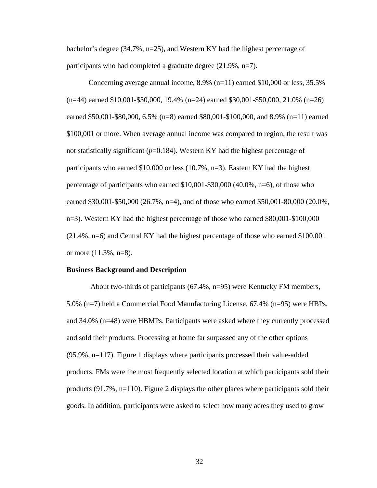bachelor's degree (34.7%,  $n=25$ ), and Western KY had the highest percentage of participants who had completed a graduate degree (21.9%, n=7).

Concerning average annual income, 8.9% (n=11) earned \$10,000 or less, 35.5% (n=44) earned \$10,001-\$30,000, 19.4% (n=24) earned \$30,001-\$50,000, 21.0% (n=26) earned \$50,001-\$80,000, 6.5% (n=8) earned \$80,001-\$100,000, and 8.9% (n=11) earned \$100,001 or more. When average annual income was compared to region, the result was not statistically significant  $(p=0.184)$ . Western KY had the highest percentage of participants who earned \$10,000 or less (10.7%, n=3). Eastern KY had the highest percentage of participants who earned \$10,001-\$30,000 (40.0%, n=6), of those who earned \$30,001-\$50,000 (26.7%, n=4), and of those who earned \$50,001-80,000 (20.0%, n=3). Western KY had the highest percentage of those who earned \$80,001-\$100,000 (21.4%, n=6) and Central KY had the highest percentage of those who earned \$100,001 or more (11.3%, n=8).

#### **Business Background and Description**

 About two-thirds of participants (67.4%, n=95) were Kentucky FM members, 5.0% (n=7) held a Commercial Food Manufacturing License, 67.4% (n=95) were HBPs, and 34.0% (n=48) were HBMPs. Participants were asked where they currently processed and sold their products. Processing at home far surpassed any of the other options (95.9%, n=117). Figure 1 displays where participants processed their value-added products. FMs were the most frequently selected location at which participants sold their products (91.7%, n=110). Figure 2 displays the other places where participants sold their goods. In addition, participants were asked to select how many acres they used to grow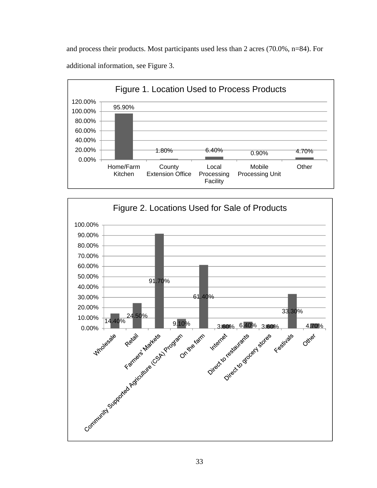and process their products. Most participants used less than 2 acres (70.0%, n=84). For additional information, see Figure 3.



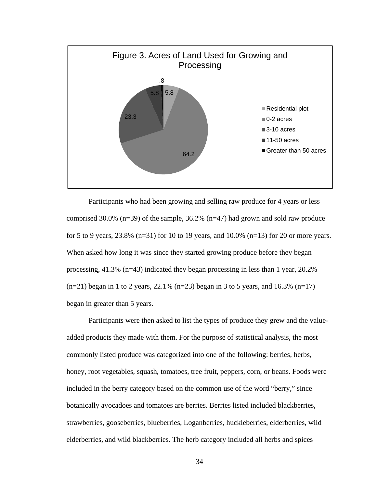

Participants who had been growing and selling raw produce for 4 years or less comprised 30.0% ( $n=39$ ) of the sample, 36.2% ( $n=47$ ) had grown and sold raw produce for 5 to 9 years, 23.8% (n=31) for 10 to 19 years, and 10.0% (n=13) for 20 or more years. When asked how long it was since they started growing produce before they began processing, 41.3% (n=43) indicated they began processing in less than 1 year, 20.2%  $(n=21)$  began in 1 to 2 years, 22.1%  $(n=23)$  began in 3 to 5 years, and 16.3%  $(n=17)$ began in greater than 5 years.

Participants were then asked to list the types of produce they grew and the valueadded products they made with them. For the purpose of statistical analysis, the most commonly listed produce was categorized into one of the following: berries, herbs, honey, root vegetables, squash, tomatoes, tree fruit, peppers, corn, or beans. Foods were included in the berry category based on the common use of the word "berry," since botanically avocadoes and tomatoes are berries. Berries listed included blackberries, strawberries, gooseberries, blueberries, Loganberries, huckleberries, elderberries, wild elderberries, and wild blackberries. The herb category included all herbs and spices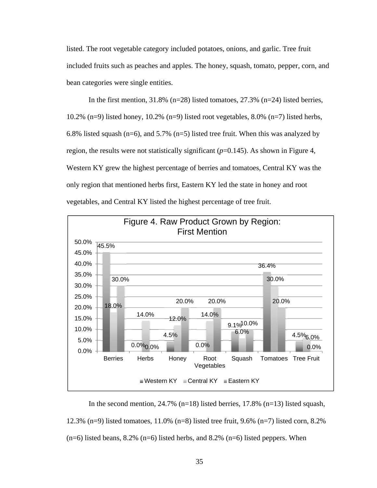listed. The root vegetable category included potatoes, onions, and garlic. Tree fruit included fruits such as peaches and apples. The honey, squash, tomato, pepper, corn, and bean categories were single entities.

In the first mention, 31.8% (n=28) listed tomatoes, 27.3% (n=24) listed berries, 10.2% (n=9) listed honey, 10.2% (n=9) listed root vegetables,  $8.0\%$  (n=7) listed herbs, 6.8% listed squash ( $n=6$ ), and 5.7% ( $n=5$ ) listed tree fruit. When this was analyzed by region, the results were not statistically significant  $(p=0.145)$ . As shown in Figure 4, Western KY grew the highest percentage of berries and tomatoes, Central KY was the only region that mentioned herbs first, Eastern KY led the state in honey and root vegetables, and Central KY listed the highest percentage of tree fruit.



In the second mention,  $24.7\%$  (n=18) listed berries, 17.8% (n=13) listed squash, 12.3% (n=9) listed tomatoes, 11.0% (n=8) listed tree fruit, 9.6% (n=7) listed corn, 8.2%  $(n=6)$  listed beans, 8.2%  $(n=6)$  listed herbs, and 8.2%  $(n=6)$  listed peppers. When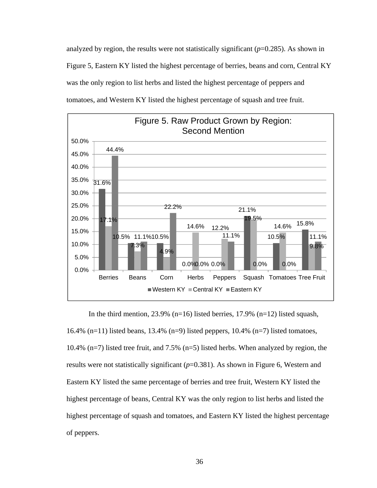analyzed by region, the results were not statistically significant  $(p=0.285)$ . As shown in Figure 5, Eastern KY listed the highest percentage of berries, beans and corn, Central KY was the only region to list herbs and listed the highest percentage of peppers and tomatoes, and Western KY listed the highest percentage of squash and tree fruit.



In the third mention,  $23.9\%$  (n=16) listed berries, 17.9% (n=12) listed squash, 16.4% (n=11) listed beans, 13.4% (n=9) listed peppers, 10.4% (n=7) listed tomatoes, 10.4% (n=7) listed tree fruit, and 7.5% (n=5) listed herbs. When analyzed by region, the results were not statistically significant (*p*=0.381). As shown in Figure 6, Western and Eastern KY listed the same percentage of berries and tree fruit, Western KY listed the highest percentage of beans, Central KY was the only region to list herbs and listed the highest percentage of squash and tomatoes, and Eastern KY listed the highest percentage of peppers.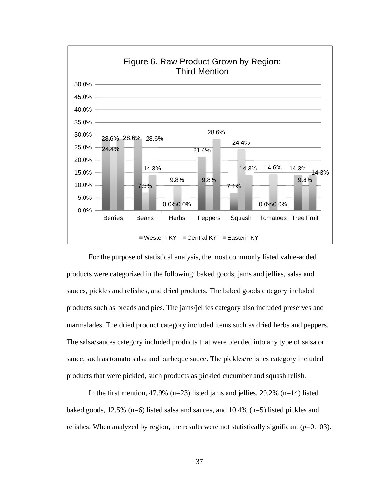

For the purpose of statistical analysis, the most commonly listed value-added products were categorized in the following: baked goods, jams and jellies, salsa and sauces, pickles and relishes, and dried products. The baked goods category included products such as breads and pies. The jams/jellies category also included preserves and marmalades. The dried product category included items such as dried herbs and peppers. The salsa/sauces category included products that were blended into any type of salsa or sauce, such as tomato salsa and barbeque sauce. The pickles/relishes category included products that were pickled, such products as pickled cucumber and squash relish.

In the first mention, 47.9% (n=23) listed jams and jellies,  $29.2\%$  (n=14) listed baked goods, 12.5% (n=6) listed salsa and sauces, and 10.4% (n=5) listed pickles and relishes. When analyzed by region, the results were not statistically significant  $(p=0.103)$ .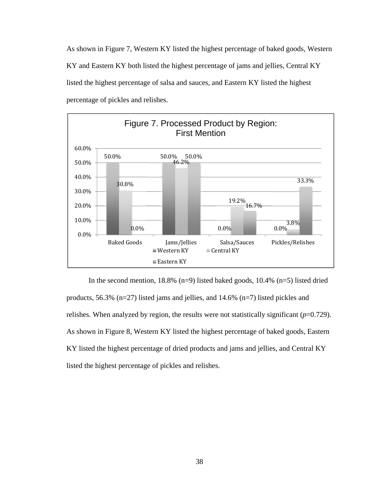As shown in Figure 7, Western KY listed the highest percentage of baked goods, Western KY and Eastern KY both listed the highest percentage of jams and jellies, Central KY listed the highest percentage of salsa and sauces, and Eastern KY listed the highest percentage of pickles and relishes.



In the second mention,  $18.8\%$  (n=9) listed baked goods,  $10.4\%$  (n=5) listed dried products, 56.3% (n=27) listed jams and jellies, and 14.6% (n=7) listed pickles and relishes. When analyzed by region, the results were not statistically significant (*p*=0.729). As shown in Figure 8, Western KY listed the highest percentage of baked goods, Eastern KY listed the highest percentage of dried products and jams and jellies, and Central KY listed the highest percentage of pickles and relishes.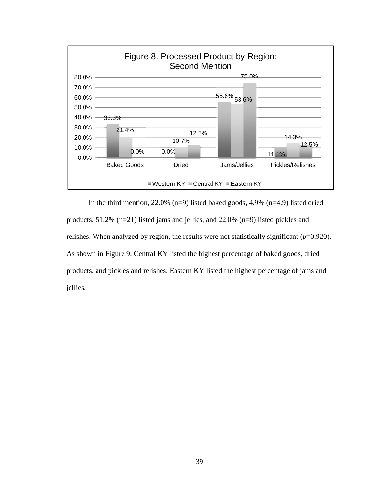

 In the third mention, 22.0% (n=9) listed baked goods, 4.9% (n=4.9) listed dried products, 51.2% (n=21) listed jams and jellies, and 22.0% (n=9) listed pickles and relishes. When analyzed by region, the results were not statistically significant (*p*=0.920). As shown in Figure 9, Central KY listed the highest percentage of baked goods, dried products, and pickles and relishes. Eastern KY listed the highest percentage of jams and jellies.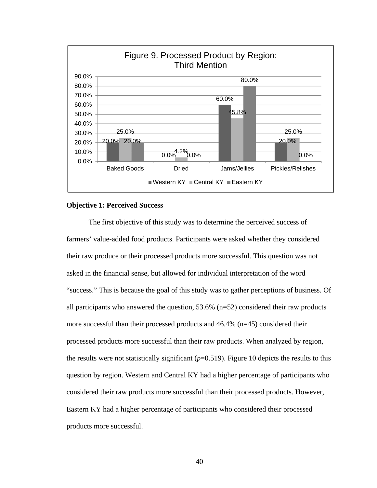

# **Objective 1: Perceived Success**

The first objective of this study was to determine the perceived success of farmers' value-added food products. Participants were asked whether they considered their raw produce or their processed products more successful. This question was not asked in the financial sense, but allowed for individual interpretation of the word "success." This is because the goal of this study was to gather perceptions of business. Of all participants who answered the question, 53.6% (n=52) considered their raw products more successful than their processed products and 46.4% (n=45) considered their processed products more successful than their raw products. When analyzed by region, the results were not statistically significant  $(p=0.519)$ . Figure 10 depicts the results to this question by region. Western and Central KY had a higher percentage of participants who considered their raw products more successful than their processed products. However, Eastern KY had a higher percentage of participants who considered their processed products more successful.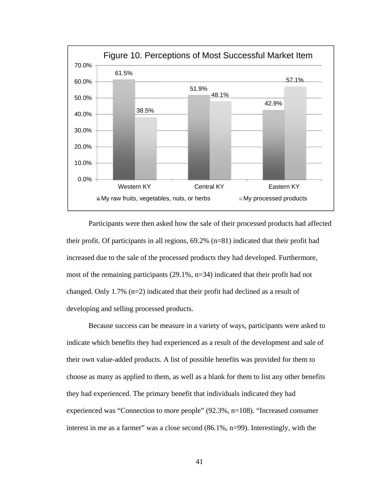

Participants were then asked how the sale of their processed products had affected their profit. Of participants in all regions,  $69.2\%$  (n=81) indicated that their profit had increased due to the sale of the processed products they had developed. Furthermore, most of the remaining participants (29.1%, n=34) indicated that their profit had not changed. Only 1.7% (n=2) indicated that their profit had declined as a result of developing and selling processed products.

Because success can be measure in a variety of ways, participants were asked to indicate which benefits they had experienced as a result of the development and sale of their own value-added products. A list of possible benefits was provided for them to choose as many as applied to them, as well as a blank for them to list any other benefits they had experienced. The primary benefit that individuals indicated they had experienced was "Connection to more people" (92.3%, n=108). "Increased consumer interest in me as a farmer" was a close second (86.1%, n=99). Interestingly, with the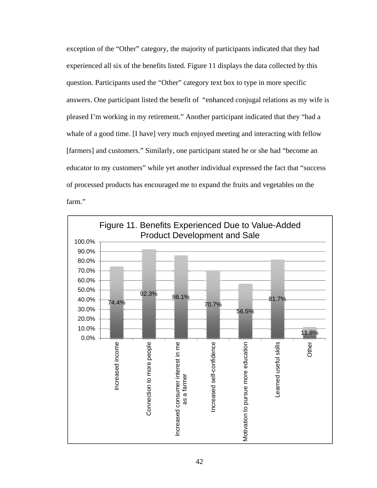exception of the "Other" category, the majority of participants indicated that they had experienced all six of the benefits listed. Figure 11 displays the data collected by this question. Participants used the "Other" category text box to type in more specific answers. One participant listed the benefit of "enhanced conjugal relations as my wife is pleased I'm working in my retirement." Another participant indicated that they "had a whale of a good time. [I have] very much enjoyed meeting and interacting with fellow [farmers] and customers." Similarly, one participant stated he or she had "become an educator to my customers" while yet another individual expressed the fact that "success of processed products has encouraged me to expand the fruits and vegetables on the farm."

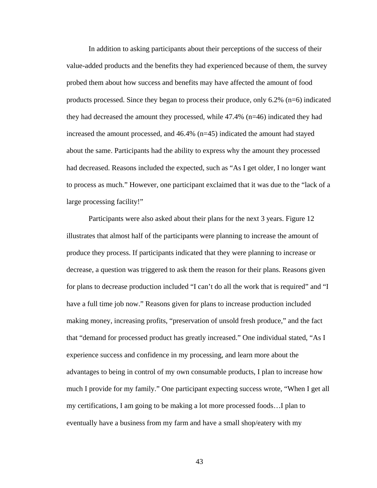In addition to asking participants about their perceptions of the success of their value-added products and the benefits they had experienced because of them, the survey probed them about how success and benefits may have affected the amount of food products processed. Since they began to process their produce, only  $6.2\%$  (n=6) indicated they had decreased the amount they processed, while 47.4% (n=46) indicated they had increased the amount processed, and 46.4% (n=45) indicated the amount had stayed about the same. Participants had the ability to express why the amount they processed had decreased. Reasons included the expected, such as "As I get older, I no longer want to process as much." However, one participant exclaimed that it was due to the "lack of a large processing facility!"

Participants were also asked about their plans for the next 3 years. Figure 12 illustrates that almost half of the participants were planning to increase the amount of produce they process. If participants indicated that they were planning to increase or decrease, a question was triggered to ask them the reason for their plans. Reasons given for plans to decrease production included "I can't do all the work that is required" and "I have a full time job now." Reasons given for plans to increase production included making money, increasing profits, "preservation of unsold fresh produce," and the fact that "demand for processed product has greatly increased." One individual stated, "As I experience success and confidence in my processing, and learn more about the advantages to being in control of my own consumable products, I plan to increase how much I provide for my family." One participant expecting success wrote, "When I get all my certifications, I am going to be making a lot more processed foods…I plan to eventually have a business from my farm and have a small shop/eatery with my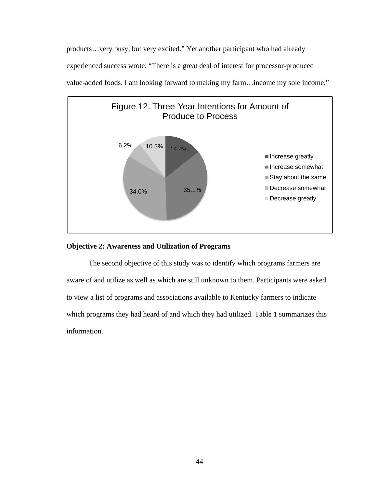products…very busy, but very excited." Yet another participant who had already experienced success wrote, "There is a great deal of interest for processor-produced value-added foods. I am looking forward to making my farm…income my sole income."



# **Objective 2: Awareness and Utilization of Programs**

The second objective of this study was to identify which programs farmers are aware of and utilize as well as which are still unknown to them. Participants were asked to view a list of programs and associations available to Kentucky farmers to indicate which programs they had heard of and which they had utilized. Table 1 summarizes this information.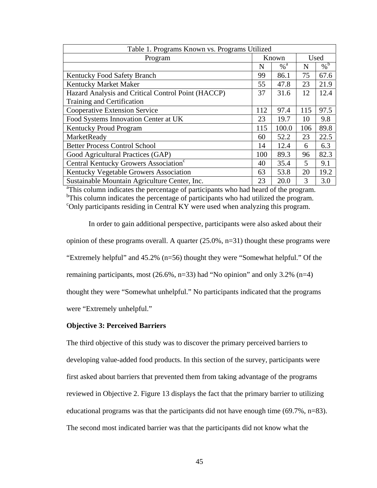| Table 1. Programs Known vs. Programs Utilized                                                   |       |                   |                         |                   |  |  |
|-------------------------------------------------------------------------------------------------|-------|-------------------|-------------------------|-------------------|--|--|
| Program                                                                                         | Known |                   | Used                    |                   |  |  |
|                                                                                                 | N     | $\%$ <sup>a</sup> | N                       | $\%$ <sup>b</sup> |  |  |
| Kentucky Food Safety Branch                                                                     | 99    | 86.1              | 75                      | 67.6              |  |  |
| Kentucky Market Maker                                                                           | 55    | 47.8              | 23                      | 21.9              |  |  |
| Hazard Analysis and Critical Control Point (HACCP)                                              | 37    | 31.6              | 12                      | 12.4              |  |  |
| Training and Certification                                                                      |       |                   |                         |                   |  |  |
| <b>Cooperative Extension Service</b>                                                            | 112   | 97.4              | 115                     | 97.5              |  |  |
| Food Systems Innovation Center at UK                                                            | 23    | 19.7              | 10                      | 9.8               |  |  |
| Kentucky Proud Program                                                                          | 115   | 100.0             | 106                     | 89.8              |  |  |
| MarketReady                                                                                     | 60    | 52.2              | 23                      | 22.5              |  |  |
| <b>Better Process Control School</b>                                                            | 14    | 12.4              | 6                       | 6.3               |  |  |
| Good Agricultural Practices (GAP)                                                               | 100   | 89.3              | 96                      | 82.3              |  |  |
| Central Kentucky Growers Association <sup>c</sup>                                               | 40    | 35.4              | $\overline{\mathbf{5}}$ | 9.1               |  |  |
| Kentucky Vegetable Growers Association                                                          | 63    | 53.8              | 20                      | 19.2              |  |  |
| Sustainable Mountain Agriculture Center, Inc.                                                   | 23    | 20.0              | 3                       | 3.0               |  |  |
| <sup>a</sup> This column indicates the percentage of participants who had heard of the program. |       |                   |                         |                   |  |  |

 $\rm{^{6}This}$  column indicates the percentage of participants who had utilized the program. <sup>c</sup>Only participants residing in Central KY were used when analyzing this program.

In order to gain additional perspective, participants were also asked about their opinion of these programs overall. A quarter (25.0%, n=31) thought these programs were "Extremely helpful" and 45.2% (n=56) thought they were "Somewhat helpful." Of the remaining participants, most  $(26.6\%, n=33)$  had "No opinion" and only 3.2%  $(n=4)$ thought they were "Somewhat unhelpful." No participants indicated that the programs were "Extremely unhelpful."

# **Objective 3: Perceived Barriers**

The third objective of this study was to discover the primary perceived barriers to developing value-added food products. In this section of the survey, participants were first asked about barriers that prevented them from taking advantage of the programs reviewed in Objective 2. Figure 13 displays the fact that the primary barrier to utilizing educational programs was that the participants did not have enough time (69.7%, n=83). The second most indicated barrier was that the participants did not know what the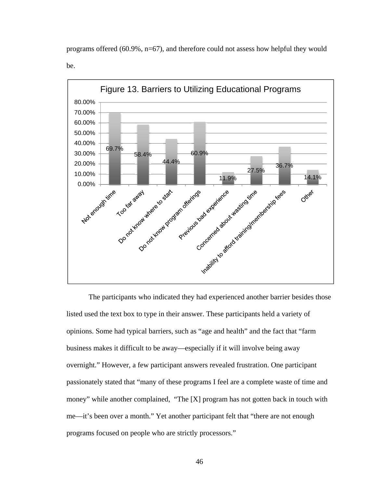

programs offered (60.9%, n=67), and therefore could not assess how helpful they would be.

The participants who indicated they had experienced another barrier besides those listed used the text box to type in their answer. These participants held a variety of opinions. Some had typical barriers, such as "age and health" and the fact that "farm business makes it difficult to be away—especially if it will involve being away overnight." However, a few participant answers revealed frustration. One participant passionately stated that "many of these programs I feel are a complete waste of time and money" while another complained, "The [X] program has not gotten back in touch with me—it's been over a month." Yet another participant felt that "there are not enough programs focused on people who are strictly processors."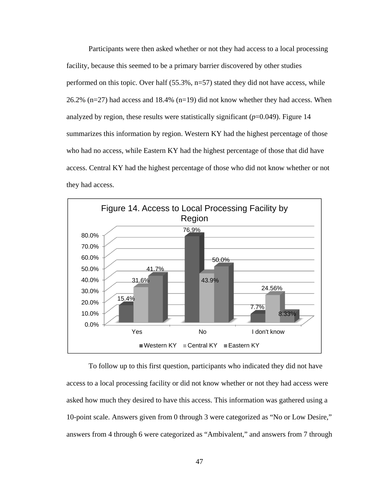Participants were then asked whether or not they had access to a local processing facility, because this seemed to be a primary barrier discovered by other studies performed on this topic. Over half (55.3%, n=57) stated they did not have access, while 26.2% ( $n=27$ ) had access and 18.4% ( $n=19$ ) did not know whether they had access. When analyzed by region, these results were statistically significant  $(p=0.049)$ . Figure 14 summarizes this information by region. Western KY had the highest percentage of those who had no access, while Eastern KY had the highest percentage of those that did have access. Central KY had the highest percentage of those who did not know whether or not they had access.



To follow up to this first question, participants who indicated they did not have access to a local processing facility or did not know whether or not they had access were asked how much they desired to have this access. This information was gathered using a 10-point scale. Answers given from 0 through 3 were categorized as "No or Low Desire," answers from 4 through 6 were categorized as "Ambivalent," and answers from 7 through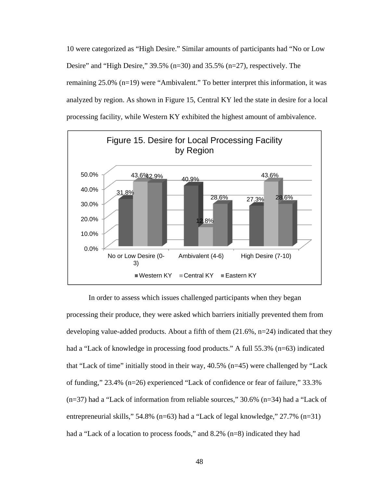10 were categorized as "High Desire." Similar amounts of participants had "No or Low Desire" and "High Desire," 39.5% (n=30) and 35.5% (n=27), respectively. The remaining 25.0% (n=19) were "Ambivalent." To better interpret this information, it was analyzed by region. As shown in Figure 15, Central KY led the state in desire for a local processing facility, while Western KY exhibited the highest amount of ambivalence.



In order to assess which issues challenged participants when they began processing their produce, they were asked which barriers initially prevented them from developing value-added products. About a fifth of them (21.6%, n=24) indicated that they had a "Lack of knowledge in processing food products." A full 55.3% (n=63) indicated that "Lack of time" initially stood in their way, 40.5% (n=45) were challenged by "Lack of funding," 23.4% (n=26) experienced "Lack of confidence or fear of failure," 33.3% (n=37) had a "Lack of information from reliable sources," 30.6% (n=34) had a "Lack of entrepreneurial skills," 54.8% (n=63) had a "Lack of legal knowledge," 27.7% (n=31) had a "Lack of a location to process foods," and 8.2% (n=8) indicated they had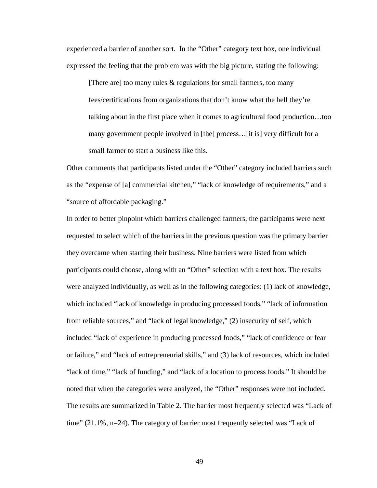experienced a barrier of another sort. In the "Other" category text box, one individual expressed the feeling that the problem was with the big picture, stating the following:

[There are] too many rules  $\&$  regulations for small farmers, too many fees/certifications from organizations that don't know what the hell they're talking about in the first place when it comes to agricultural food production…too many government people involved in [the] process…[it is] very difficult for a small farmer to start a business like this.

Other comments that participants listed under the "Other" category included barriers such as the "expense of [a] commercial kitchen," "lack of knowledge of requirements," and a "source of affordable packaging."

In order to better pinpoint which barriers challenged farmers, the participants were next requested to select which of the barriers in the previous question was the primary barrier they overcame when starting their business. Nine barriers were listed from which participants could choose, along with an "Other" selection with a text box. The results were analyzed individually, as well as in the following categories: (1) lack of knowledge, which included "lack of knowledge in producing processed foods," "lack of information from reliable sources," and "lack of legal knowledge," (2) insecurity of self, which included "lack of experience in producing processed foods," "lack of confidence or fear or failure," and "lack of entrepreneurial skills," and (3) lack of resources, which included "lack of time," "lack of funding," and "lack of a location to process foods." It should be noted that when the categories were analyzed, the "Other" responses were not included. The results are summarized in Table 2. The barrier most frequently selected was "Lack of time" (21.1%, n=24). The category of barrier most frequently selected was "Lack of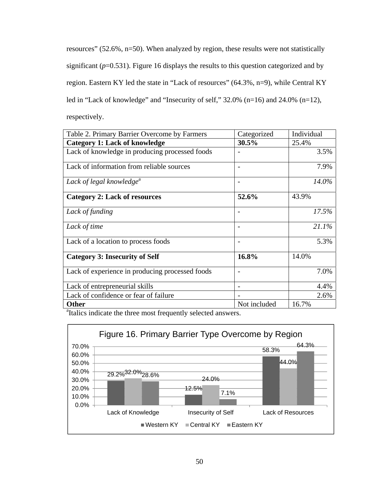resources" (52.6%, n=50). When analyzed by region, these results were not statistically significant ( $p=0.531$ ). Figure 16 displays the results to this question categorized and by region. Eastern KY led the state in "Lack of resources" (64.3%, n=9), while Central KY led in "Lack of knowledge" and "Insecurity of self," 32.0% (n=16) and 24.0% (n=12), respectively.

| Table 2. Primary Barrier Overcome by Farmers                              | Categorized  | Individual |
|---------------------------------------------------------------------------|--------------|------------|
| <b>Category 1: Lack of knowledge</b>                                      | 30.5%        | 25.4%      |
| Lack of knowledge in producing processed foods                            |              | 3.5%       |
| Lack of information from reliable sources                                 |              | 7.9%       |
| Lack of legal knowledge <sup>a</sup>                                      |              | 14.0%      |
| <b>Category 2: Lack of resources</b>                                      | 52.6%        | 43.9%      |
| Lack of funding                                                           |              | 17.5%      |
| Lack of time                                                              |              | 21.1%      |
| Lack of a location to process foods                                       | -            | 5.3%       |
| <b>Category 3: Insecurity of Self</b>                                     | 16.8%        | 14.0%      |
| Lack of experience in producing processed foods                           |              | 7.0%       |
| Lack of entrepreneurial skills                                            |              | 4.4%       |
| Lack of confidence or fear of failure                                     |              | 2.6%       |
| <b>Other</b>                                                              | Not included | 16.7%      |
| <sup>a</sup> Italics indicate the three most frequently selected answers. |              |            |

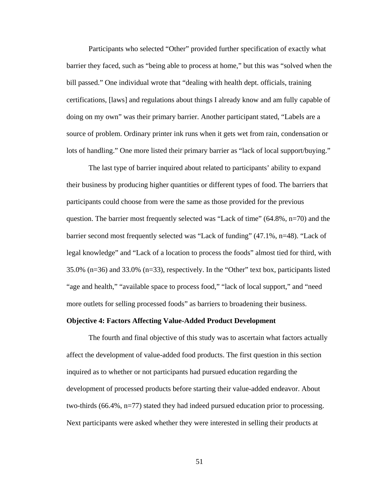Participants who selected "Other" provided further specification of exactly what barrier they faced, such as "being able to process at home," but this was "solved when the bill passed." One individual wrote that "dealing with health dept. officials, training certifications, [laws] and regulations about things I already know and am fully capable of doing on my own" was their primary barrier. Another participant stated, "Labels are a source of problem. Ordinary printer ink runs when it gets wet from rain, condensation or lots of handling." One more listed their primary barrier as "lack of local support/buying."

 The last type of barrier inquired about related to participants' ability to expand their business by producing higher quantities or different types of food. The barriers that participants could choose from were the same as those provided for the previous question. The barrier most frequently selected was "Lack of time"  $(64.8\%, n=70)$  and the barrier second most frequently selected was "Lack of funding" (47.1%, n=48). "Lack of legal knowledge" and "Lack of a location to process the foods" almost tied for third, with 35.0% (n=36) and 33.0% (n=33), respectively. In the "Other" text box, participants listed "age and health," "available space to process food," "lack of local support," and "need more outlets for selling processed foods" as barriers to broadening their business.

# **Objective 4: Factors Affecting Value-Added Product Development**

The fourth and final objective of this study was to ascertain what factors actually affect the development of value-added food products. The first question in this section inquired as to whether or not participants had pursued education regarding the development of processed products before starting their value-added endeavor. About two-thirds (66.4%, n=77) stated they had indeed pursued education prior to processing. Next participants were asked whether they were interested in selling their products at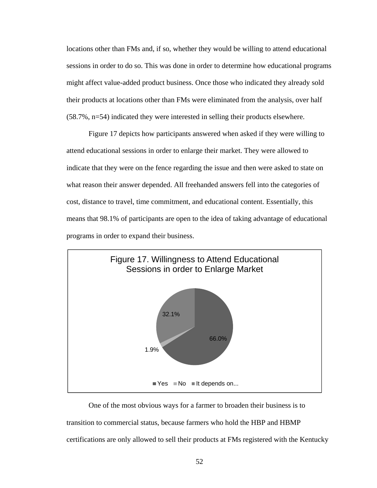locations other than FMs and, if so, whether they would be willing to attend educational sessions in order to do so. This was done in order to determine how educational programs might affect value-added product business. Once those who indicated they already sold their products at locations other than FMs were eliminated from the analysis, over half (58.7%, n=54) indicated they were interested in selling their products elsewhere.

Figure 17 depicts how participants answered when asked if they were willing to attend educational sessions in order to enlarge their market. They were allowed to indicate that they were on the fence regarding the issue and then were asked to state on what reason their answer depended. All freehanded answers fell into the categories of cost, distance to travel, time commitment, and educational content. Essentially, this means that 98.1% of participants are open to the idea of taking advantage of educational programs in order to expand their business.



One of the most obvious ways for a farmer to broaden their business is to transition to commercial status, because farmers who hold the HBP and HBMP certifications are only allowed to sell their products at FMs registered with the Kentucky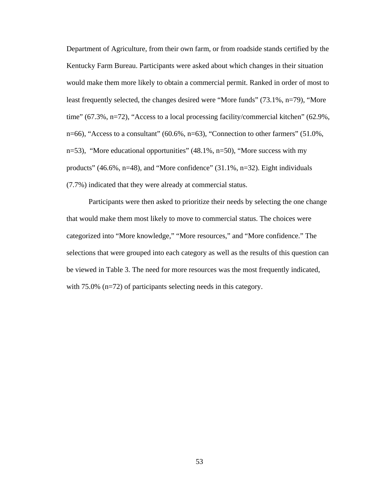Department of Agriculture, from their own farm, or from roadside stands certified by the Kentucky Farm Bureau. Participants were asked about which changes in their situation would make them more likely to obtain a commercial permit. Ranked in order of most to least frequently selected, the changes desired were "More funds" (73.1%, n=79), "More time" (67.3%, n=72), "Access to a local processing facility/commercial kitchen" (62.9%, n=66), "Access to a consultant" (60.6%, n=63), "Connection to other farmers" (51.0%, n=53), "More educational opportunities" (48.1%, n=50), "More success with my products" (46.6%, n=48), and "More confidence" (31.1%, n=32). Eight individuals (7.7%) indicated that they were already at commercial status.

Participants were then asked to prioritize their needs by selecting the one change that would make them most likely to move to commercial status. The choices were categorized into "More knowledge," "More resources," and "More confidence." The selections that were grouped into each category as well as the results of this question can be viewed in Table 3. The need for more resources was the most frequently indicated, with 75.0% (n=72) of participants selecting needs in this category.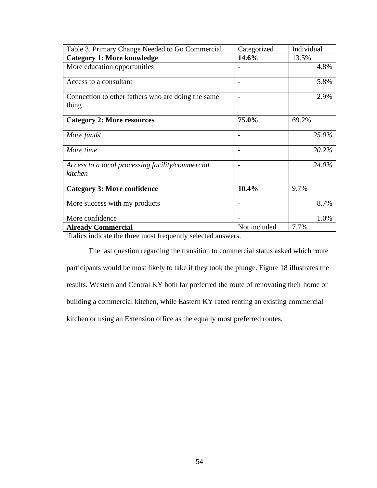| Table 3. Primary Change Needed to Go Commercial                           | Categorized              | Individual |  |  |  |
|---------------------------------------------------------------------------|--------------------------|------------|--|--|--|
| <b>Category 1: More knowledge</b>                                         | 14.6%                    | 13.5%      |  |  |  |
| More education opportunities                                              |                          | 4.8%       |  |  |  |
| Access to a consultant                                                    |                          | 5.8%       |  |  |  |
| Connection to other fathers who are doing the same<br>thing               | $\overline{\phantom{a}}$ | 2.9%       |  |  |  |
| <b>Category 2: More resources</b>                                         | 75.0%                    | 69.2%      |  |  |  |
| More funds <sup><math>a</math></sup>                                      |                          | 25.0%      |  |  |  |
| More time                                                                 |                          | 20.2%      |  |  |  |
| Access to a local processing facility/commercial<br>kitchen               | $\overline{\phantom{a}}$ | 24.0%      |  |  |  |
| <b>Category 3: More confidence</b>                                        | 10.4%                    | 9.7%       |  |  |  |
| More success with my products                                             |                          | 8.7%       |  |  |  |
| More confidence                                                           |                          | 1.0%       |  |  |  |
| <b>Already Commercial</b>                                                 | Not included             | 7.7%       |  |  |  |
| <sup>a</sup> Italics indicate the three most frequently selected answers. |                          |            |  |  |  |

The last question regarding the transition to commercial status asked which route participants would be most likely to take if they took the plunge. Figure 18 illustrates the results. Western and Central KY both far preferred the route of renovating their home or building a commercial kitchen, while Eastern KY rated renting an existing commercial kitchen or using an Extension office as the equally most preferred routes.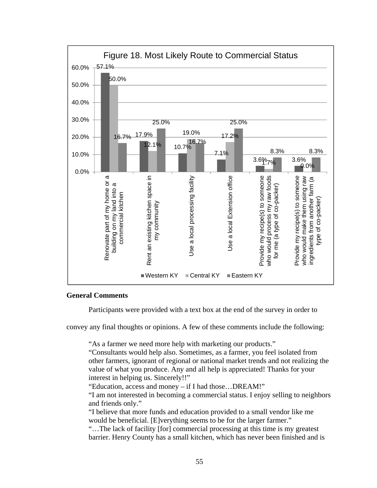

# **General Comments**

Participants were provided with a text box at the end of the survey in order to

convey any final thoughts or opinions. A few of these comments include the following:

"As a farmer we need more help with marketing our products."

"Consultants would help also. Sometimes, as a farmer, you feel isolated from other farmers, ignorant of regional or national market trends and not realizing the value of what you produce. Any and all help is appreciated! Thanks for your interest in helping us. Sincerely!!"

"Education, access and money – if I had those…DREAM!"

"I am not interested in becoming a commercial status. I enjoy selling to neighbors and friends only."

"I believe that more funds and education provided to a small vendor like me would be beneficial. [E]verything seems to be for the larger farmer."

"…The lack of facility [for] commercial processing at this time is my greatest barrier. Henry County has a small kitchen, which has never been finished and is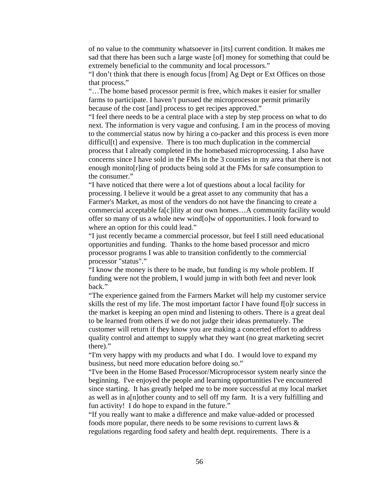of no value to the community whatsoever in [its] current condition. It makes me sad that there has been such a large waste [of] money for something that could be extremely beneficial to the community and local processors."

"I don't think that there is enough focus [from] Ag Dept or Ext Offices on those that process."

"…The home based processor permit is free, which makes it easier for smaller farms to participate. I haven't pursued the microprocessor permit primarily because of the cost [and] process to get recipes approved."

"I feel there needs to be a central place with a step by step process on what to do next. The information is very vague and confusing. I am in the process of moving to the commercial status now by hiring a co-packer and this process is even more difficul[t] and expensive. There is too much duplication in the commercial process that I already completed in the homebased microprocessing. I also have concerns since I have sold in the FMs in the 3 counties in my area that there is not enough monito[r]ing of products being sold at the FMs for safe consumption to the consumer."

"I have noticed that there were a lot of questions about a local facility for processing. I believe it would be a great asset to any community that has a Farmer's Market, as most of the vendors do not have the financing to create a commercial acceptable fa[c]ility at our own homes…A community facility would offer so many of us a whole new wind[o]w of opportunities. I look forward to where an option for this could lead."

"I just recently became a commercial processor, but feel I still need educational opportunities and funding. Thanks to the home based processor and micro processor programs I was able to transition confidently to the commercial processor "status"."

"I know the money is there to be made, but funding is my whole problem. If funding were not the problem, I would jump in with both feet and never look back."

"The experience gained from the Farmers Market will help my customer service skills the rest of my life. The most important factor I have found f[o]r success in the market is keeping an open mind and listening to others. There is a great deal to be learned from others if we do not judge their ideas prematurely. The customer will return if they know you are making a concerted effort to address quality control and attempt to supply what they want (no great marketing secret there)."

"I'm very happy with my products and what I do. I would love to expand my business, but need more education before doing so."

"I've been in the Home Based Processor/Microprocessor system nearly since the beginning. I've enjoyed the people and learning opportunities I've encountered since starting. It has greatly helped me to be more successful at my local market as well as in a[n]other county and to sell off my farm. It is a very fulfilling and fun activity! I do hope to expand in the future."

"If you really want to make a difference and make value-added or processed foods more popular, there needs to be some revisions to current laws & regulations regarding food safety and health dept. requirements. There is a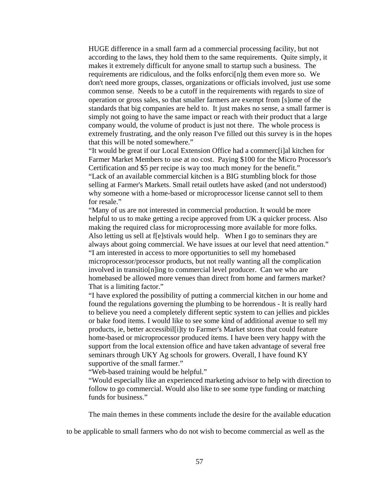HUGE difference in a small farm ad a commercial processing facility, but not according to the laws, they hold them to the same requirements. Quite simply, it makes it extremely difficult for anyone small to startup such a business. The requirements are ridiculous, and the folks enforci[n]g them even more so. We don't need more groups, classes, organizations or officials involved, just use some common sense. Needs to be a cutoff in the requirements with regards to size of operation or gross sales, so that smaller farmers are exempt from [s]ome of the standards that big companies are held to. It just makes no sense, a small farmer is simply not going to have the same impact or reach with their product that a large company would, the volume of product is just not there. The whole process is extremely frustrating, and the only reason I've filled out this survey is in the hopes that this will be noted somewhere."

"It would be great if our Local Extension Office had a commerc[i]al kitchen for Farmer Market Members to use at no cost. Paying \$100 for the Micro Processor's Certification and \$5 per recipe is way too much money for the benefit." "Lack of an available commercial kitchen is a BIG stumbling block for those selling at Farmer's Markets. Small retail outlets have asked (and not understood) why someone with a home-based or microprocessor license cannot sell to them for resale."

"Many of us are not interested in commercial production. It would be more helpful to us to make getting a recipe approved from UK a quicker process. Also making the required class for microprocessing more available for more folks. Also letting us sell at f[e]stivals would help. When I go to seminars they are always about going commercial. We have issues at our level that need attention." "I am interested in access to more opportunities to sell my homebased microprocessor/processor products, but not really wanting all the complication involved in transitio[n]ing to commercial level producer. Can we who are homebased be allowed more venues than direct from home and farmers market? That is a limiting factor."

"I have explored the possibility of putting a commercial kitchen in our home and found the regulations governing the plumbing to be horrendous - It is really hard to believe you need a completely different septic system to can jellies and pickles or bake food items. I would like to see some kind of additional avenue to sell my products, ie, better accessibil[i]ty to Farmer's Market stores that could feature home-based or microprocessor produced items. I have been very happy with the support from the local extension office and have taken advantage of several free seminars through UKY Ag schools for growers. Overall, I have found KY supportive of the small farmer."

"Web-based training would be helpful."

"Would especially like an experienced marketing advisor to help with direction to follow to go commercial. Would also like to see some type funding or matching funds for business."

The main themes in these comments include the desire for the available education

to be applicable to small farmers who do not wish to become commercial as well as the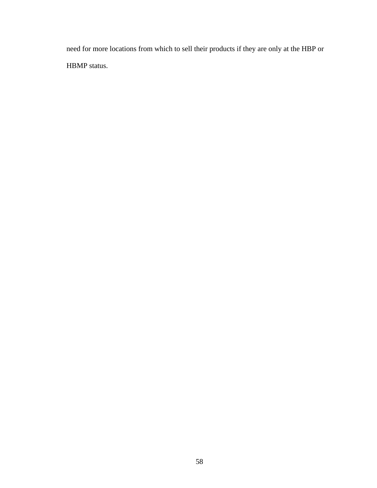need for more locations from which to sell their products if they are only at the HBP or HBMP status.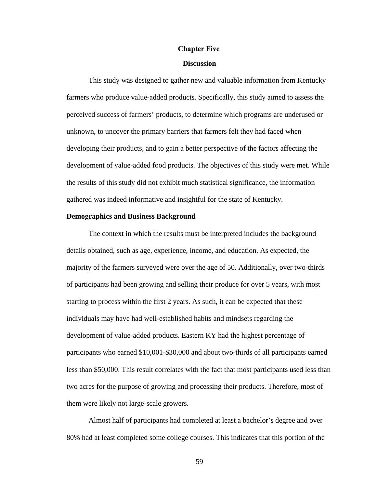# **Chapter Five**

#### **Discussion**

This study was designed to gather new and valuable information from Kentucky farmers who produce value-added products. Specifically, this study aimed to assess the perceived success of farmers' products, to determine which programs are underused or unknown, to uncover the primary barriers that farmers felt they had faced when developing their products, and to gain a better perspective of the factors affecting the development of value-added food products. The objectives of this study were met. While the results of this study did not exhibit much statistical significance, the information gathered was indeed informative and insightful for the state of Kentucky.

### **Demographics and Business Background**

The context in which the results must be interpreted includes the background details obtained, such as age, experience, income, and education. As expected, the majority of the farmers surveyed were over the age of 50. Additionally, over two-thirds of participants had been growing and selling their produce for over 5 years, with most starting to process within the first 2 years. As such, it can be expected that these individuals may have had well-established habits and mindsets regarding the development of value-added products. Eastern KY had the highest percentage of participants who earned \$10,001-\$30,000 and about two-thirds of all participants earned less than \$50,000. This result correlates with the fact that most participants used less than two acres for the purpose of growing and processing their products. Therefore, most of them were likely not large-scale growers.

Almost half of participants had completed at least a bachelor's degree and over 80% had at least completed some college courses. This indicates that this portion of the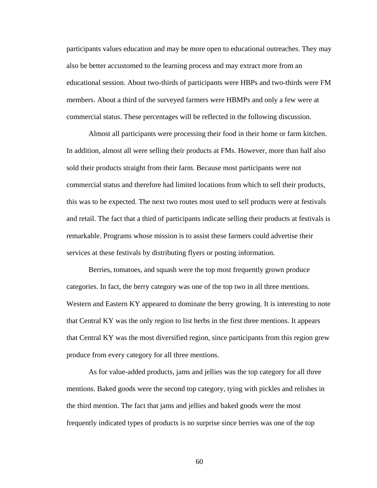participants values education and may be more open to educational outreaches. They may also be better accustomed to the learning process and may extract more from an educational session. About two-thirds of participants were HBPs and two-thirds were FM members. About a third of the surveyed farmers were HBMPs and only a few were at commercial status. These percentages will be reflected in the following discussion.

Almost all participants were processing their food in their home or farm kitchen. In addition, almost all were selling their products at FMs. However, more than half also sold their products straight from their farm. Because most participants were not commercial status and therefore had limited locations from which to sell their products, this was to be expected. The next two routes most used to sell products were at festivals and retail. The fact that a third of participants indicate selling their products at festivals is remarkable. Programs whose mission is to assist these farmers could advertise their services at these festivals by distributing flyers or posting information.

Berries, tomatoes, and squash were the top most frequently grown produce categories. In fact, the berry category was one of the top two in all three mentions. Western and Eastern KY appeared to dominate the berry growing. It is interesting to note that Central KY was the only region to list herbs in the first three mentions. It appears that Central KY was the most diversified region, since participants from this region grew produce from every category for all three mentions.

As for value-added products, jams and jellies was the top category for all three mentions. Baked goods were the second top category, tying with pickles and relishes in the third mention. The fact that jams and jellies and baked goods were the most frequently indicated types of products is no surprise since berries was one of the top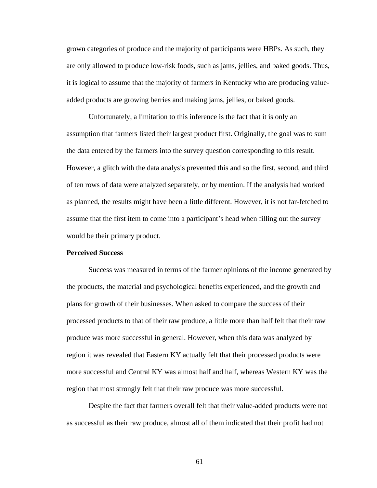grown categories of produce and the majority of participants were HBPs. As such, they are only allowed to produce low-risk foods, such as jams, jellies, and baked goods. Thus, it is logical to assume that the majority of farmers in Kentucky who are producing valueadded products are growing berries and making jams, jellies, or baked goods.

Unfortunately, a limitation to this inference is the fact that it is only an assumption that farmers listed their largest product first. Originally, the goal was to sum the data entered by the farmers into the survey question corresponding to this result. However, a glitch with the data analysis prevented this and so the first, second, and third of ten rows of data were analyzed separately, or by mention. If the analysis had worked as planned, the results might have been a little different. However, it is not far-fetched to assume that the first item to come into a participant's head when filling out the survey would be their primary product.

# **Perceived Success**

 Success was measured in terms of the farmer opinions of the income generated by the products, the material and psychological benefits experienced, and the growth and plans for growth of their businesses. When asked to compare the success of their processed products to that of their raw produce, a little more than half felt that their raw produce was more successful in general. However, when this data was analyzed by region it was revealed that Eastern KY actually felt that their processed products were more successful and Central KY was almost half and half, whereas Western KY was the region that most strongly felt that their raw produce was more successful.

 Despite the fact that farmers overall felt that their value-added products were not as successful as their raw produce, almost all of them indicated that their profit had not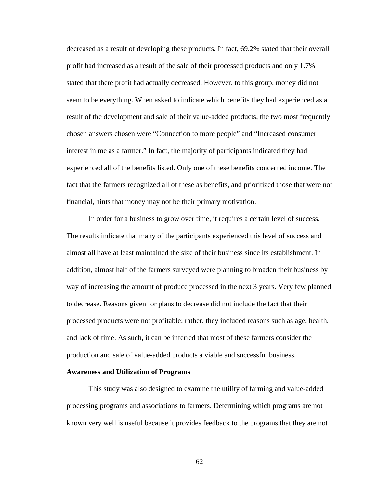decreased as a result of developing these products. In fact, 69.2% stated that their overall profit had increased as a result of the sale of their processed products and only 1.7% stated that there profit had actually decreased. However, to this group, money did not seem to be everything. When asked to indicate which benefits they had experienced as a result of the development and sale of their value-added products, the two most frequently chosen answers chosen were "Connection to more people" and "Increased consumer interest in me as a farmer." In fact, the majority of participants indicated they had experienced all of the benefits listed. Only one of these benefits concerned income. The fact that the farmers recognized all of these as benefits, and prioritized those that were not financial, hints that money may not be their primary motivation.

In order for a business to grow over time, it requires a certain level of success. The results indicate that many of the participants experienced this level of success and almost all have at least maintained the size of their business since its establishment. In addition, almost half of the farmers surveyed were planning to broaden their business by way of increasing the amount of produce processed in the next 3 years. Very few planned to decrease. Reasons given for plans to decrease did not include the fact that their processed products were not profitable; rather, they included reasons such as age, health, and lack of time. As such, it can be inferred that most of these farmers consider the production and sale of value-added products a viable and successful business.

### **Awareness and Utilization of Programs**

 This study was also designed to examine the utility of farming and value-added processing programs and associations to farmers. Determining which programs are not known very well is useful because it provides feedback to the programs that they are not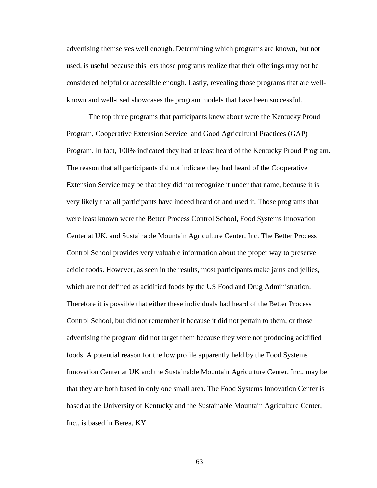advertising themselves well enough. Determining which programs are known, but not used, is useful because this lets those programs realize that their offerings may not be considered helpful or accessible enough. Lastly, revealing those programs that are wellknown and well-used showcases the program models that have been successful.

 The top three programs that participants knew about were the Kentucky Proud Program, Cooperative Extension Service, and Good Agricultural Practices (GAP) Program. In fact, 100% indicated they had at least heard of the Kentucky Proud Program. The reason that all participants did not indicate they had heard of the Cooperative Extension Service may be that they did not recognize it under that name, because it is very likely that all participants have indeed heard of and used it. Those programs that were least known were the Better Process Control School, Food Systems Innovation Center at UK, and Sustainable Mountain Agriculture Center, Inc. The Better Process Control School provides very valuable information about the proper way to preserve acidic foods. However, as seen in the results, most participants make jams and jellies, which are not defined as acidified foods by the US Food and Drug Administration. Therefore it is possible that either these individuals had heard of the Better Process Control School, but did not remember it because it did not pertain to them, or those advertising the program did not target them because they were not producing acidified foods. A potential reason for the low profile apparently held by the Food Systems Innovation Center at UK and the Sustainable Mountain Agriculture Center, Inc., may be that they are both based in only one small area. The Food Systems Innovation Center is based at the University of Kentucky and the Sustainable Mountain Agriculture Center, Inc., is based in Berea, KY.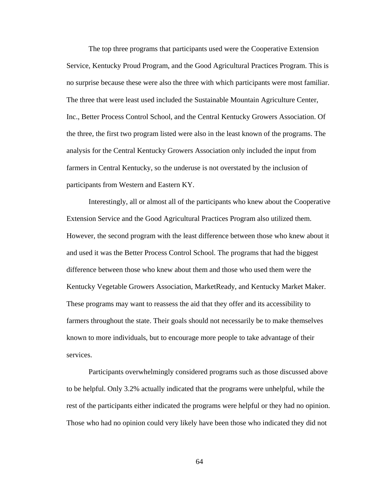The top three programs that participants used were the Cooperative Extension Service, Kentucky Proud Program, and the Good Agricultural Practices Program. This is no surprise because these were also the three with which participants were most familiar. The three that were least used included the Sustainable Mountain Agriculture Center, Inc., Better Process Control School, and the Central Kentucky Growers Association. Of the three, the first two program listed were also in the least known of the programs. The analysis for the Central Kentucky Growers Association only included the input from farmers in Central Kentucky, so the underuse is not overstated by the inclusion of participants from Western and Eastern KY.

 Interestingly, all or almost all of the participants who knew about the Cooperative Extension Service and the Good Agricultural Practices Program also utilized them. However, the second program with the least difference between those who knew about it and used it was the Better Process Control School. The programs that had the biggest difference between those who knew about them and those who used them were the Kentucky Vegetable Growers Association, MarketReady, and Kentucky Market Maker. These programs may want to reassess the aid that they offer and its accessibility to farmers throughout the state. Their goals should not necessarily be to make themselves known to more individuals, but to encourage more people to take advantage of their services.

 Participants overwhelmingly considered programs such as those discussed above to be helpful. Only 3.2% actually indicated that the programs were unhelpful, while the rest of the participants either indicated the programs were helpful or they had no opinion. Those who had no opinion could very likely have been those who indicated they did not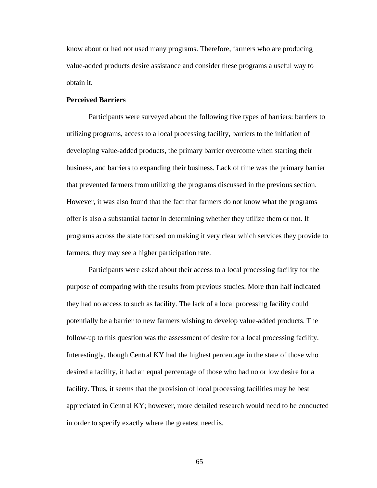know about or had not used many programs. Therefore, farmers who are producing value-added products desire assistance and consider these programs a useful way to obtain it.

#### **Perceived Barriers**

Participants were surveyed about the following five types of barriers: barriers to utilizing programs, access to a local processing facility, barriers to the initiation of developing value-added products, the primary barrier overcome when starting their business, and barriers to expanding their business. Lack of time was the primary barrier that prevented farmers from utilizing the programs discussed in the previous section. However, it was also found that the fact that farmers do not know what the programs offer is also a substantial factor in determining whether they utilize them or not. If programs across the state focused on making it very clear which services they provide to farmers, they may see a higher participation rate.

Participants were asked about their access to a local processing facility for the purpose of comparing with the results from previous studies. More than half indicated they had no access to such as facility. The lack of a local processing facility could potentially be a barrier to new farmers wishing to develop value-added products. The follow-up to this question was the assessment of desire for a local processing facility. Interestingly, though Central KY had the highest percentage in the state of those who desired a facility, it had an equal percentage of those who had no or low desire for a facility. Thus, it seems that the provision of local processing facilities may be best appreciated in Central KY; however, more detailed research would need to be conducted in order to specify exactly where the greatest need is.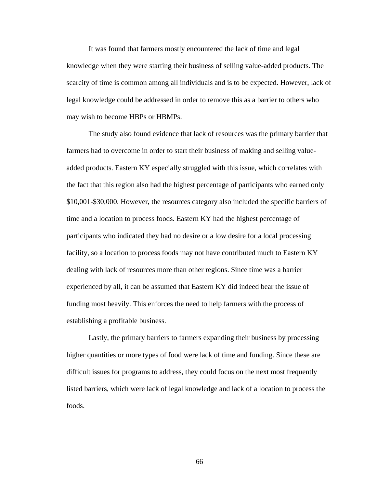It was found that farmers mostly encountered the lack of time and legal knowledge when they were starting their business of selling value-added products. The scarcity of time is common among all individuals and is to be expected. However, lack of legal knowledge could be addressed in order to remove this as a barrier to others who may wish to become HBPs or HBMPs.

The study also found evidence that lack of resources was the primary barrier that farmers had to overcome in order to start their business of making and selling valueadded products. Eastern KY especially struggled with this issue, which correlates with the fact that this region also had the highest percentage of participants who earned only \$10,001-\$30,000. However, the resources category also included the specific barriers of time and a location to process foods. Eastern KY had the highest percentage of participants who indicated they had no desire or a low desire for a local processing facility, so a location to process foods may not have contributed much to Eastern KY dealing with lack of resources more than other regions. Since time was a barrier experienced by all, it can be assumed that Eastern KY did indeed bear the issue of funding most heavily. This enforces the need to help farmers with the process of establishing a profitable business.

Lastly, the primary barriers to farmers expanding their business by processing higher quantities or more types of food were lack of time and funding. Since these are difficult issues for programs to address, they could focus on the next most frequently listed barriers, which were lack of legal knowledge and lack of a location to process the foods.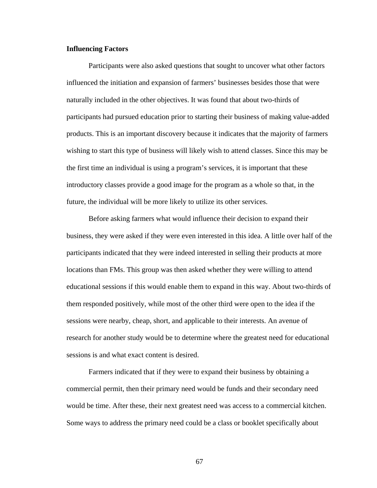#### **Influencing Factors**

 Participants were also asked questions that sought to uncover what other factors influenced the initiation and expansion of farmers' businesses besides those that were naturally included in the other objectives. It was found that about two-thirds of participants had pursued education prior to starting their business of making value-added products. This is an important discovery because it indicates that the majority of farmers wishing to start this type of business will likely wish to attend classes. Since this may be the first time an individual is using a program's services, it is important that these introductory classes provide a good image for the program as a whole so that, in the future, the individual will be more likely to utilize its other services.

 Before asking farmers what would influence their decision to expand their business, they were asked if they were even interested in this idea. A little over half of the participants indicated that they were indeed interested in selling their products at more locations than FMs. This group was then asked whether they were willing to attend educational sessions if this would enable them to expand in this way. About two-thirds of them responded positively, while most of the other third were open to the idea if the sessions were nearby, cheap, short, and applicable to their interests. An avenue of research for another study would be to determine where the greatest need for educational sessions is and what exact content is desired.

Farmers indicated that if they were to expand their business by obtaining a commercial permit, then their primary need would be funds and their secondary need would be time. After these, their next greatest need was access to a commercial kitchen. Some ways to address the primary need could be a class or booklet specifically about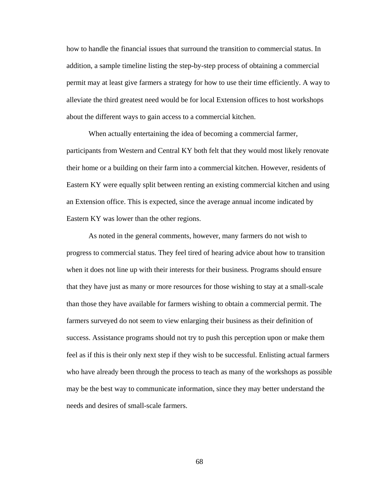how to handle the financial issues that surround the transition to commercial status. In addition, a sample timeline listing the step-by-step process of obtaining a commercial permit may at least give farmers a strategy for how to use their time efficiently. A way to alleviate the third greatest need would be for local Extension offices to host workshops about the different ways to gain access to a commercial kitchen.

When actually entertaining the idea of becoming a commercial farmer, participants from Western and Central KY both felt that they would most likely renovate their home or a building on their farm into a commercial kitchen. However, residents of Eastern KY were equally split between renting an existing commercial kitchen and using an Extension office. This is expected, since the average annual income indicated by Eastern KY was lower than the other regions.

As noted in the general comments, however, many farmers do not wish to progress to commercial status. They feel tired of hearing advice about how to transition when it does not line up with their interests for their business. Programs should ensure that they have just as many or more resources for those wishing to stay at a small-scale than those they have available for farmers wishing to obtain a commercial permit. The farmers surveyed do not seem to view enlarging their business as their definition of success. Assistance programs should not try to push this perception upon or make them feel as if this is their only next step if they wish to be successful. Enlisting actual farmers who have already been through the process to teach as many of the workshops as possible may be the best way to communicate information, since they may better understand the needs and desires of small-scale farmers.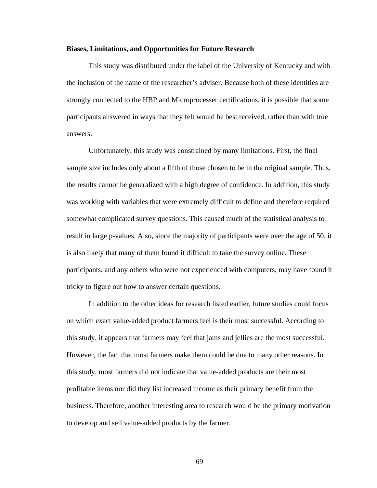#### **Biases, Limitations, and Opportunities for Future Research**

This study was distributed under the label of the University of Kentucky and with the inclusion of the name of the researcher's adviser. Because both of these identities are strongly connected to the HBP and Microprocesser certifications, it is possible that some participants answered in ways that they felt would be best received, rather than with true answers.

 Unfortunately, this study was constrained by many limitations. First, the final sample size includes only about a fifth of those chosen to be in the original sample. Thus, the results cannot be generalized with a high degree of confidence. In addition, this study was working with variables that were extremely difficult to define and therefore required somewhat complicated survey questions. This caused much of the statistical analysis to result in large p-values. Also, since the majority of participants were over the age of 50, it is also likely that many of them found it difficult to take the survey online. These participants, and any others who were not experienced with computers, may have found it tricky to figure out how to answer certain questions.

 In addition to the other ideas for research listed earlier, future studies could focus on which exact value-added product farmers feel is their most successful. According to this study, it appears that farmers may feel that jams and jellies are the most successful. However, the fact that most farmers make them could be due to many other reasons. In this study, most farmers did not indicate that value-added products are their most profitable items nor did they list increased income as their primary benefit from the business. Therefore, another interesting area to research would be the primary motivation to develop and sell value-added products by the farmer.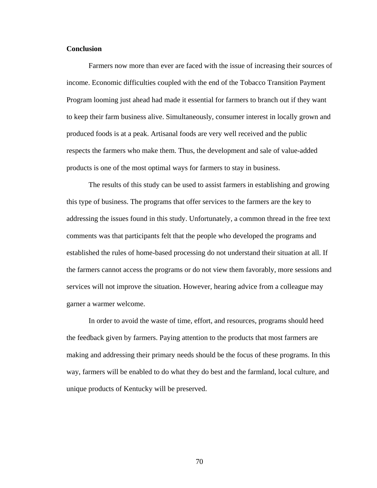#### **Conclusion**

Farmers now more than ever are faced with the issue of increasing their sources of income. Economic difficulties coupled with the end of the Tobacco Transition Payment Program looming just ahead had made it essential for farmers to branch out if they want to keep their farm business alive. Simultaneously, consumer interest in locally grown and produced foods is at a peak. Artisanal foods are very well received and the public respects the farmers who make them. Thus, the development and sale of value-added products is one of the most optimal ways for farmers to stay in business.

The results of this study can be used to assist farmers in establishing and growing this type of business. The programs that offer services to the farmers are the key to addressing the issues found in this study. Unfortunately, a common thread in the free text comments was that participants felt that the people who developed the programs and established the rules of home-based processing do not understand their situation at all. If the farmers cannot access the programs or do not view them favorably, more sessions and services will not improve the situation. However, hearing advice from a colleague may garner a warmer welcome.

In order to avoid the waste of time, effort, and resources, programs should heed the feedback given by farmers. Paying attention to the products that most farmers are making and addressing their primary needs should be the focus of these programs. In this way, farmers will be enabled to do what they do best and the farmland, local culture, and unique products of Kentucky will be preserved.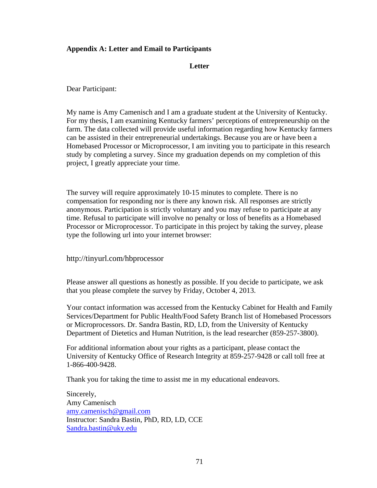# **Appendix A: Letter and Email to Participants**

## **Letter**

Dear Participant:

My name is Amy Camenisch and I am a graduate student at the University of Kentucky. For my thesis, I am examining Kentucky farmers' perceptions of entrepreneurship on the farm. The data collected will provide useful information regarding how Kentucky farmers can be assisted in their entrepreneurial undertakings. Because you are or have been a Homebased Processor or Microprocessor, I am inviting you to participate in this research study by completing a survey. Since my graduation depends on my completion of this project, I greatly appreciate your time.

The survey will require approximately 10-15 minutes to complete. There is no compensation for responding nor is there any known risk. All responses are strictly anonymous. Participation is strictly voluntary and you may refuse to participate at any time. Refusal to participate will involve no penalty or loss of benefits as a Homebased Processor or Microprocessor. To participate in this project by taking the survey, please type the following url into your internet browser:

http://tinyurl.com/hbprocessor

Please answer all questions as honestly as possible. If you decide to participate, we ask that you please complete the survey by Friday, October 4, 2013.

Your contact information was accessed from the Kentucky Cabinet for Health and Family Services/Department for Public Health/Food Safety Branch list of Homebased Processors or Microprocessors. Dr. Sandra Bastin, RD, LD, from the University of Kentucky Department of Dietetics and Human Nutrition, is the lead researcher (859-257-3800).

For additional information about your rights as a participant, please contact the University of Kentucky Office of Research Integrity at 859-257-9428 or call toll free at 1-866-400-9428.

Thank you for taking the time to assist me in my educational endeavors.

Sincerely, Amy Camenisch amy.camenisch@gmail.com Instructor: Sandra Bastin, PhD, RD, LD, CCE Sandra.bastin@uky.edu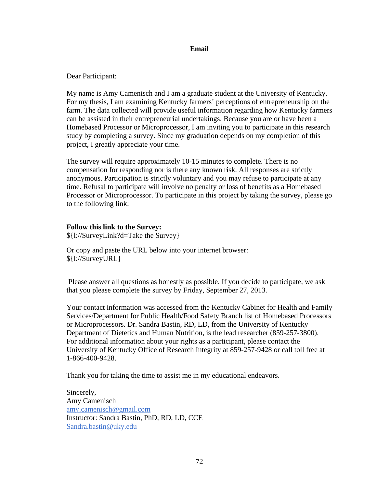## **Email**

Dear Participant:

My name is Amy Camenisch and I am a graduate student at the University of Kentucky. For my thesis, I am examining Kentucky farmers' perceptions of entrepreneurship on the farm. The data collected will provide useful information regarding how Kentucky farmers can be assisted in their entrepreneurial undertakings. Because you are or have been a Homebased Processor or Microprocessor, I am inviting you to participate in this research study by completing a survey. Since my graduation depends on my completion of this project, I greatly appreciate your time.

The survey will require approximately 10-15 minutes to complete. There is no compensation for responding nor is there any known risk. All responses are strictly anonymous. Participation is strictly voluntary and you may refuse to participate at any time. Refusal to participate will involve no penalty or loss of benefits as a Homebased Processor or Microprocessor. To participate in this project by taking the survey, please go to the following link:

## **Follow this link to the Survey:**

\${l://SurveyLink?d=Take the Survey}

Or copy and paste the URL below into your internet browser: \${l://SurveyURL}

 Please answer all questions as honestly as possible. If you decide to participate, we ask that you please complete the survey by Friday, September 27, 2013.

Your contact information was accessed from the Kentucky Cabinet for Health and Family Services/Department for Public Health/Food Safety Branch list of Homebased Processors or Microprocessors. Dr. Sandra Bastin, RD, LD, from the University of Kentucky Department of Dietetics and Human Nutrition, is the lead researcher (859-257-3800). For additional information about your rights as a participant, please contact the University of Kentucky Office of Research Integrity at 859-257-9428 or call toll free at 1-866-400-9428.

Thank you for taking the time to assist me in my educational endeavors.

Sincerely, Amy Camenisch amy.camenisch@gmail.com Instructor: Sandra Bastin, PhD, RD, LD, CCE Sandra.bastin@uky.edu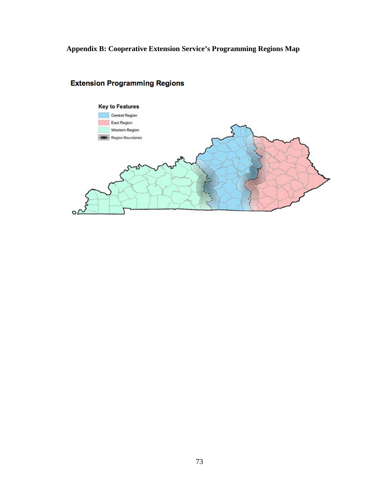**Appendix B: Cooperative Extension Service's Programming Regions Map** 



# **Extension Programming Regions**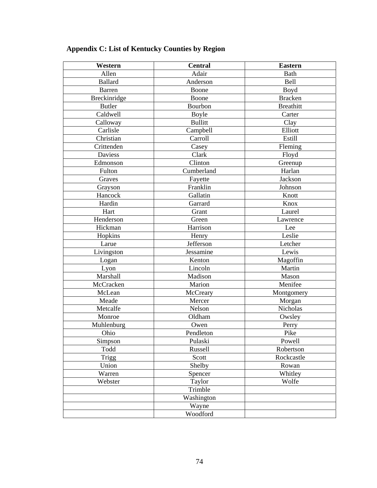| Western        | <b>Central</b> | <b>Eastern</b>   |
|----------------|----------------|------------------|
| Allen          | Adair          | <b>Bath</b>      |
| <b>Ballard</b> | Anderson       | Bell             |
| <b>Barren</b>  | Boone          | Boyd             |
| Breckinridge   | Boone          | <b>Bracken</b>   |
| <b>Butler</b>  | Bourbon        | <b>Breathitt</b> |
| Caldwell       | <b>Boyle</b>   | Carter           |
| Calloway       | <b>Bullitt</b> | Clay             |
| Carlisle       | Campbell       | Elliott          |
| Christian      | Carroll        | Estill           |
| Crittenden     | Casey          | Fleming          |
| <b>Daviess</b> | Clark          | Floyd            |
| Edmonson       | Clinton        | Greenup          |
| Fulton         | Cumberland     | Harlan           |
| Graves         | Fayette        | Jackson          |
| Grayson        | Franklin       | Johnson          |
| Hancock        | Gallatin       | Knott            |
| Hardin         | Garrard        | Knox             |
| Hart           | Grant          | Laurel           |
| Henderson      | Green          | Lawrence         |
| Hickman        | Harrison       | Lee              |
| Hopkins        | Henry          | Leslie           |
| Larue          | Jefferson      | Letcher          |
| Livingston     | Jessamine      | Lewis            |
| Logan          | Kenton         | Magoffin         |
| Lyon           | Lincoln        | Martin           |
| Marshall       | Madison        | Mason            |
| McCracken      | Marion         | Menifee          |
| McLean         | McCreary       | Montgomery       |
| Meade          | Mercer         | Morgan           |
| Metcalfe       | Nelson         | Nicholas         |
| Monroe         | Oldham         | Owsley           |
| Muhlenburg     | Owen           | Perry            |
| Ohio           | Pendleton      | Pike             |
| Simpson        | Pulaski        | Powell           |
| Todd           | Russell        | Robertson        |
| <b>Trigg</b>   | Scott          | Rockcastle       |
| Union          | Shelby         | Rowan            |
| Warren         | Spencer        | Whitley          |
| Webster        | Taylor         | Wolfe            |
|                | Trimble        |                  |
|                | Washington     |                  |
|                | Wayne          |                  |
|                | Woodford       |                  |

# **Appendix C: List of Kentucky Counties by Region**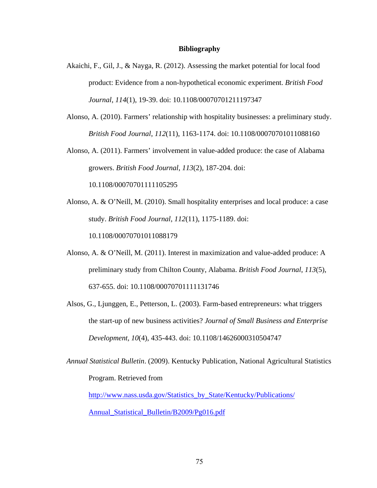#### **Bibliography**

- Akaichi, F., Gil, J., & Nayga, R. (2012). Assessing the market potential for local food product: Evidence from a non-hypothetical economic experiment. *British Food Journal*, *114*(1), 19-39. doi: 10.1108/00070701211197347
- Alonso, A. (2010). Farmers' relationship with hospitality businesses: a preliminary study. *British Food Journal*, *112*(11), 1163-1174. doi: 10.1108/00070701011088160
- Alonso, A. (2011). Farmers' involvement in value-added produce: the case of Alabama growers. *British Food Journal*, *113*(2), 187-204. doi:

10.1108/00070701111105295

- Alonso, A. & O'Neill, M. (2010). Small hospitality enterprises and local produce: a case study. *British Food Journal*, *112*(11), 1175-1189. doi: 10.1108/00070701011088179
- Alonso, A. & O'Neill, M. (2011). Interest in maximization and value-added produce: A preliminary study from Chilton County, Alabama. *British Food Journal*, *113*(5), 637-655. doi: 10.1108/00070701111131746
- Alsos, G., Ljunggen, E., Petterson, L. (2003). Farm-based entrepreneurs: what triggers the start-up of new business activities? *Journal of Small Business and Enterprise Development, 10*(4), 435-443. doi: 10.1108/14626000310504747

*Annual Statistical Bulletin*. (2009). Kentucky Publication, National Agricultural Statistics Program. Retrieved from

http://www.nass.usda.gov/Statistics\_by\_State/Kentucky/Publications/ Annual\_Statistical\_Bulletin/B2009/Pg016.pdf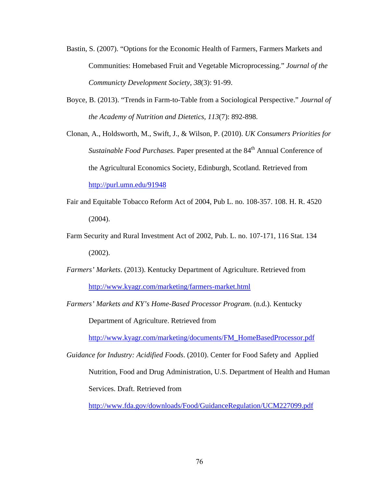- Bastin, S. (2007). "Options for the Economic Health of Farmers, Farmers Markets and Communities: Homebased Fruit and Vegetable Microprocessing." *Journal of the Communicty Development Society, 38*(3): 91-99.
- Boyce, B. (2013). "Trends in Farm-to-Table from a Sociological Perspective." *Journal of the Academy of Nutrition and Dietetics, 113*(7): 892-898.

Clonan, A., Holdsworth, M., Swift, J., & Wilson, P. (2010). *UK Consumers Priorities for Sustainable Food Purchases.* Paper presented at the 84<sup>th</sup> Annual Conference of the Agricultural Economics Society, Edinburgh, Scotland. Retrieved from http://purl.umn.edu/91948

- Fair and Equitable Tobacco Reform Act of 2004, Pub L. no. 108-357. 108. H. R. 4520 (2004).
- Farm Security and Rural Investment Act of 2002, Pub. L. no. 107-171, 116 Stat. 134 (2002).
- *Farmers' Markets*. (2013). Kentucky Department of Agriculture. Retrieved from http://www.kyagr.com/marketing/farmers-market.html
- *Farmers' Markets and KY's Home-Based Processor Program*. (n.d.). Kentucky Department of Agriculture. Retrieved from

http://www.kyagr.com/marketing/documents/FM\_HomeBasedProcessor.pdf

*Guidance for Industry: Acidified Foods*. (2010). Center for Food Safety and Applied Nutrition, Food and Drug Administration, U.S. Department of Health and Human Services. Draft. Retrieved from

http://www.fda.gov/downloads/Food/GuidanceRegulation/UCM227099.pdf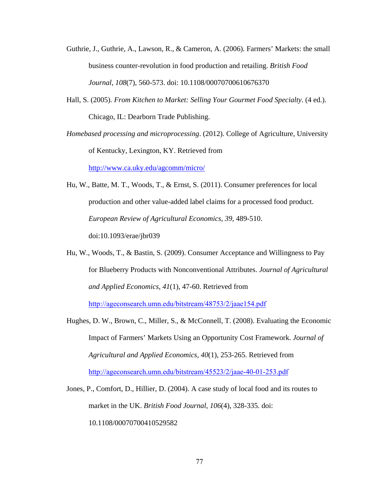- Guthrie, J., Guthrie, A., Lawson, R., & Cameron, A. (2006). Farmers' Markets: the small business counter-revolution in food production and retailing. *British Food Journal*, *108*(7), 560-573. doi: 10.1108/00070700610676370
- Hall, S. (2005). *From Kitchen to Market: Selling Your Gourmet Food Specialty*. (4 ed.). Chicago, IL: Dearborn Trade Publishing.
- *Homebased processing and microprocessing*. (2012). College of Agriculture, University of Kentucky, Lexington, KY. Retrieved from

http://www.ca.uky.edu/agcomm/micro/

- Hu, W., Batte, M. T., Woods, T., & Ernst, S. (2011). Consumer preferences for local production and other value-added label claims for a processed food product. *European Review of Agricultural Economics*, *39*, 489-510. doi:10.1093/erae/jbr039
- Hu, W., Woods, T., & Bastin, S. (2009). Consumer Acceptance and Willingness to Pay for Blueberry Products with Nonconventional Attributes. *Journal of Agricultural and Applied Economics*, *41*(1), 47-60. Retrieved from <http://ageconsearch.umn.edu/bitstream/48753/2/jaae154.pdf>
- Hughes, D. W., Brown, C., Miller, S., & McConnell, T. (2008). Evaluating the Economic Impact of Farmers' Markets Using an Opportunity Cost Framework. *Journal of Agricultural and Applied Economics*, *40*(1), 253-265. Retrieved from <http://ageconsearch.umn.edu/bitstream/45523/2/jaae-40-01-253.pdf>
- Jones, P., Comfort, D., Hillier, D. (2004). A case study of local food and its routes to market in the UK. *British Food Journal*, *106*(4), 328-335. doi: 10.1108/00070700410529582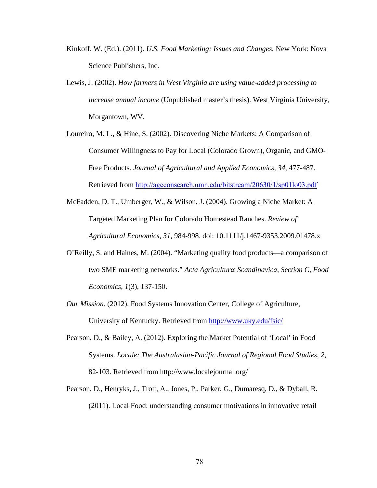- Kinkoff, W. (Ed.). (2011). *U.S. Food Marketing: Issues and Changes.* New York: Nova Science Publishers, Inc.
- Lewis, J. (2002). *How farmers in West Virginia are using value-added processing to increase annual income* (Unpublished master's thesis). West Virginia University, Morgantown, WV.
- Loureiro, M. L., & Hine, S. (2002). Discovering Niche Markets: A Comparison of Consumer Willingness to Pay for Local (Colorado Grown), Organic, and GMO-Free Products. *Journal of Agricultural and Applied Economics*, *34*, 477-487. Retrieved from <http://ageconsearch.umn.edu/bitstream/20630/1/sp01lo03.pdf>
- McFadden, D. T., Umberger, W., & Wilson, J. (2004). Growing a Niche Market: A Targeted Marketing Plan for Colorado Homestead Ranches. *Review of Agricultural Economics*, *31*, 984-998. doi: 10.1111/j.1467-9353.2009.01478.x
- O'Reilly, S. and Haines, M. (2004). "Marketing quality food products—a comparison of two SME marketing networks." *Acta Agriculturæ Scandinavica, Section C, Food Economics*, *1*(3), 137-150.
- *Our Mission*. (2012). Food Systems Innovation Center, College of Agriculture, University of Kentucky. Retrieved from http://www.uky.edu/fsic/
- Pearson, D., & Bailey, A. (2012). Exploring the Market Potential of 'Local' in Food Systems. *Locale: The Australasian-Pacific Journal of Regional Food Studies*, *2*, 82-103. Retrieved from http://www.localejournal.org/
- Pearson, D., Henryks, J., Trott, A., Jones, P., Parker, G., Dumaresq, D., & Dyball, R. (2011). Local Food: understanding consumer motivations in innovative retail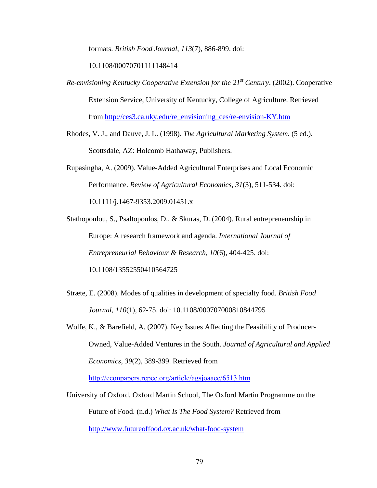formats. *British Food Journal*, *113*(7), 886-899. doi:

10.1108/00070701111148414

*Re-envisioning Kentucky Cooperative Extension for the 21st Century*. (2002). Cooperative Extension Service, University of Kentucky, College of Agriculture. Retrieved from http://ces3.ca.uky.edu/re\_envisioning\_ces/re-envision-KY.htm

Rhodes, V. J., and Dauve, J. L. (1998). *The Agricultural Marketing System.* (5 ed.). Scottsdale, AZ: Holcomb Hathaway, Publishers.

Rupasingha, A. (2009). Value-Added Agricultural Enterprises and Local Economic Performance. *Review of Agricultural Economics*, *31*(3), 511-534. doi: 10.1111/j.1467-9353.2009.01451.x

Stathopoulou, S., Psaltopoulos, D., & Skuras, D. (2004). Rural entrepreneurship in Europe: A research framework and agenda. *International Journal of Entrepreneurial Behaviour & Research*, *10*(6), 404-425. doi: 10.1108/13552550410564725

- Stræte, E. (2008). Modes of qualities in development of specialty food. *British Food Journal*, *110*(1), 62-75. doi: 10.1108/000707000810844795
- Wolfe, K., & Barefield, A. (2007). Key Issues Affecting the Feasibility of Producer-Owned, Value-Added Ventures in the South. *Journal of Agricultural and Applied Economics*, *39*(2), 389-399. Retrieved from

http://econpapers.repec.org/article/agsjoaaec/6513.htm

University of Oxford, Oxford Martin School, The Oxford Martin Programme on the Future of Food. (n.d.) *What Is The Food System?* Retrieved from http://www.futureoffood.ox.ac.uk/what-food-system